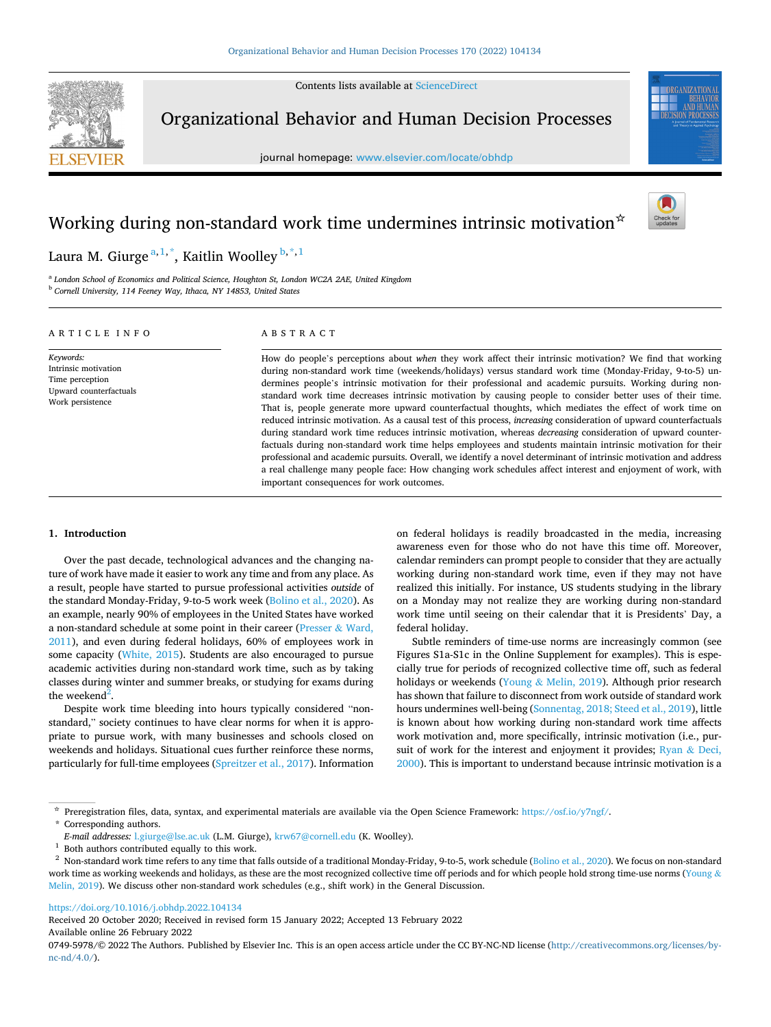Contents lists available at [ScienceDirect](www.sciencedirect.com/science/journal/07495978)



Organizational Behavior and Human Decision Processes

journal homepage: [www.elsevier.com/locate/obhdp](https://www.elsevier.com/locate/obhdp) 



# Working during non-standard work time undermines intrinsic motivation  $\dot{\sigma}$



# Laura M. Giurge $^{\mathrm{a},1,\mathrm{*}},$  Kaitlin Woolley $^{\mathrm{b},\mathrm{*},1}$

<sup>a</sup> *London School of Economics and Political Science, Houghton St, London WC2A 2AE, United Kingdom* <sup>b</sup> *Cornell University, 114 Feeney Way, Ithaca, NY 14853, United States* 

# ARTICLE INFO

*Keywords:*  Intrinsic motivation Time perception Upward counterfactuals Work persistence

# ABSTRACT

How do people's perceptions about *when* they work affect their intrinsic motivation? We find that working during non-standard work time (weekends/holidays) versus standard work time (Monday-Friday, 9-to-5) undermines people's intrinsic motivation for their professional and academic pursuits. Working during nonstandard work time decreases intrinsic motivation by causing people to consider better uses of their time. That is, people generate more upward counterfactual thoughts, which mediates the effect of work time on reduced intrinsic motivation. As a causal test of this process, *increasing* consideration of upward counterfactuals during standard work time reduces intrinsic motivation, whereas *decreasing* consideration of upward counterfactuals during non-standard work time helps employees and students maintain intrinsic motivation for their professional and academic pursuits. Overall, we identify a novel determinant of intrinsic motivation and address a real challenge many people face: How changing work schedules affect interest and enjoyment of work, with important consequences for work outcomes.

# **1. Introduction**

Over the past decade, technological advances and the changing nature of work have made it easier to work any time and from any place. As a result, people have started to pursue professional activities *outside* of the standard Monday-Friday, 9-to-5 work week [\(Bolino et al., 2020\)](#page-12-0). As an example, nearly 90% of employees in the United States have worked a non-standard schedule at some point in their career ([Presser](#page-12-0) & Ward, [2011\)](#page-12-0), and even during federal holidays, 60% of employees work in some capacity [\(White, 2015](#page-13-0)). Students are also encouraged to pursue academic activities during non-standard work time, such as by taking classes during winter and summer breaks, or studying for exams during the weekend<sup>2</sup>.

Despite work time bleeding into hours typically considered "nonstandard," society continues to have clear norms for when it is appropriate to pursue work, with many businesses and schools closed on weekends and holidays. Situational cues further reinforce these norms, particularly for full-time employees ([Spreitzer et al., 2017\)](#page-13-0). Information on federal holidays is readily broadcasted in the media, increasing awareness even for those who do not have this time off. Moreover, calendar reminders can prompt people to consider that they are actually working during non-standard work time, even if they may not have realized this initially. For instance, US students studying in the library on a Monday may not realize they are working during non-standard work time until seeing on their calendar that it is Presidents' Day, a federal holiday.

Subtle reminders of time-use norms are increasingly common (see Figures S1a-S1c in the Online Supplement for examples). This is especially true for periods of recognized collective time off, such as federal holidays or weekends (Young & [Melin, 2019](#page-13-0)). Although prior research has shown that failure to disconnect from work outside of standard work hours undermines well-being [\(Sonnentag, 2018; Steed et al., 2019](#page-13-0)), little is known about how working during non-standard work time affects work motivation and, more specifically, intrinsic motivation (i.e., pursuit of work for the interest and enjoyment it provides; [Ryan](#page-12-0) & Deci, [2000\)](#page-12-0). This is important to understand because intrinsic motivation is a

\* Corresponding authors.

<https://doi.org/10.1016/j.obhdp.2022.104134>

Available online 26 February 2022 Received 20 October 2020; Received in revised form 15 January 2022; Accepted 13 February 2022

0749-5978/© 2022 The Authors. Published by Elsevier Inc. This is an open access article under the CC BY-NC-ND license([http://creativecommons.org/licenses/by](http://creativecommons.org/licenses/by-nc-nd/4.0/) $nc\text{-}nd/4.0/$ ).

<sup>☆</sup> Preregistration files, data, syntax, and experimental materials are available via the Open Science Framework:<https://osf.io/y7ngf/>.

 $E\mbox{-}mail$  addresses: [l.giurge@lse.ac.uk](mailto:l.giurge@lse.ac.uk) (L.M. Giurge), [krw67@cornell.edu](mailto:krw67@cornell.edu) (K. Woolley).<br> $^1$  Both authors contributed equally to this work.<br> $^2$  Non-standard work time refers to any time that falls outside of a traditional work time as working weekends and holidays, as these are the most recognized collective time off periods and for which people hold strong time-use norms ([Young](#page-13-0) & [Melin, 2019](#page-13-0)). We discuss other non-standard work schedules (e.g., shift work) in the General Discussion.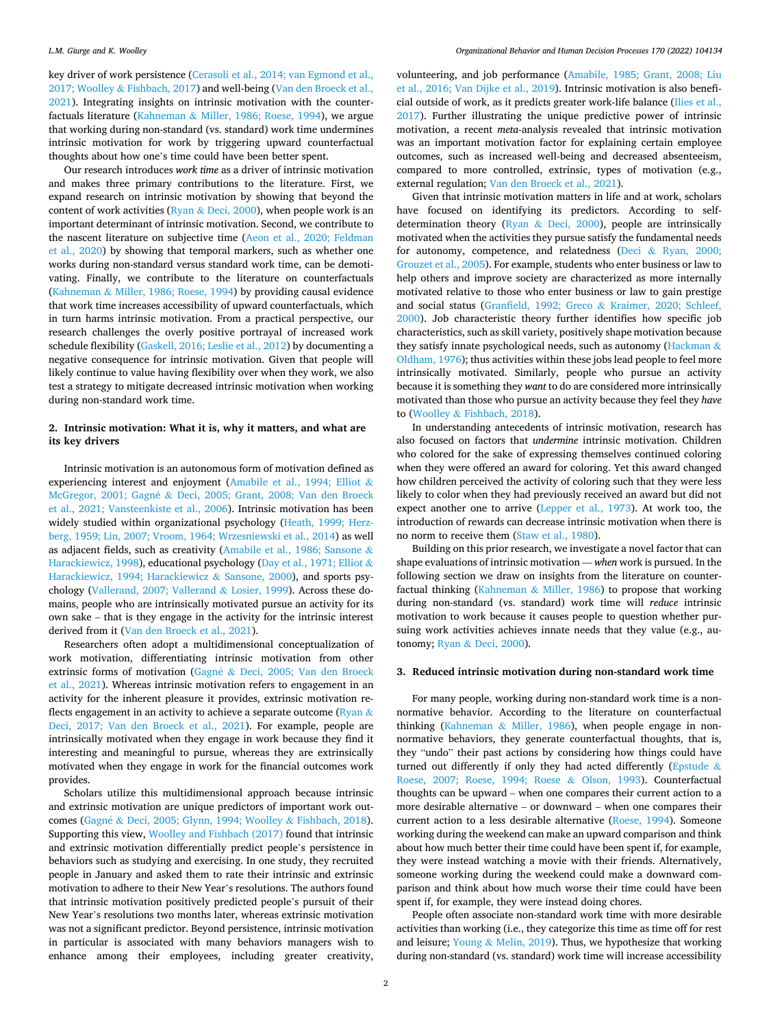key driver of work persistence ([Cerasoli et al., 2014; van Egmond et al.,](#page-12-0)  2017; Woolley & [Fishbach, 2017\)](#page-12-0) and well-being ([Van den Broeck et al.,](#page-13-0)  [2021\)](#page-13-0). Integrating insights on intrinsic motivation with the counterfactuals literature (Kahneman & [Miller, 1986; Roese, 1994\)](#page-12-0), we argue that working during non-standard (vs. standard) work time undermines intrinsic motivation for work by triggering upward counterfactual thoughts about how one's time could have been better spent.

Our research introduces *work time* as a driver of intrinsic motivation and makes three primary contributions to the literature. First, we expand research on intrinsic motivation by showing that beyond the content of work activities (Ryan  $\&$  [Deci, 2000](#page-12-0)), when people work is an important determinant of intrinsic motivation. Second, we contribute to the nascent literature on subjective time ([Aeon et al., 2020; Feldman](#page-12-0)  [et al., 2020](#page-12-0)) by showing that temporal markers, such as whether one works during non-standard versus standard work time, can be demotivating. Finally, we contribute to the literature on counterfactuals (Kahneman & [Miller, 1986; Roese, 1994](#page-12-0)) by providing causal evidence that work time increases accessibility of upward counterfactuals, which in turn harms intrinsic motivation. From a practical perspective, our research challenges the overly positive portrayal of increased work schedule flexibility ([Gaskell, 2016; Leslie et al., 2012](#page-12-0)) by documenting a negative consequence for intrinsic motivation. Given that people will likely continue to value having flexibility over when they work, we also test a strategy to mitigate decreased intrinsic motivation when working during non-standard work time.

# **2. Intrinsic motivation: What it is, why it matters, and what are its key drivers**

Intrinsic motivation is an autonomous form of motivation defined as experiencing interest and enjoyment ([Amabile et al., 1994; Elliot](#page-12-0) & McGregor, 2001; Gagné & Deci, 2005; Grant, 2008; Van den Broeck [et al., 2021; Vansteenkiste et al., 2006](#page-12-0)). Intrinsic motivation has been widely studied within organizational psychology [\(Heath, 1999; Herz](#page-12-0)[berg, 1959; Lin, 2007; Vroom, 1964; Wrzesniewski et al., 2014](#page-12-0)) as well as adjacent fields, such as creativity ([Amabile et al., 1986; Sansone](#page-12-0) & [Harackiewicz, 1998](#page-12-0)), educational psychology [\(Day et al., 1971; Elliot](#page-12-0) & [Harackiewicz, 1994; Harackiewicz](#page-12-0) & Sansone, 2000), and sports psychology [\(Vallerand, 2007; Vallerand](#page-13-0) & Losier, 1999). Across these domains, people who are intrinsically motivated pursue an activity for its own sake – that is they engage in the activity for the intrinsic interest derived from it [\(Van den Broeck et al., 2021\)](#page-13-0).

Researchers often adopt a multidimensional conceptualization of work motivation, differentiating intrinsic motivation from other extrinsic forms of motivation (Gagné & Deci, 2005; Van den Broeck [et al., 2021\)](#page-12-0). Whereas intrinsic motivation refers to engagement in an activity for the inherent pleasure it provides, extrinsic motivation reflects engagement in an activity to achieve a separate outcome ( $R$ yan  $\&$ [Deci, 2017; Van den Broeck et al., 2021\)](#page-12-0). For example, people are intrinsically motivated when they engage in work because they find it interesting and meaningful to pursue, whereas they are extrinsically motivated when they engage in work for the financial outcomes work provides.

Scholars utilize this multidimensional approach because intrinsic and extrinsic motivation are unique predictors of important work out-comes (Gagné & [Deci, 2005; Glynn, 1994; Woolley](#page-12-0) & Fishbach, 2018). Supporting this view, [Woolley and Fishbach \(2017\)](#page-13-0) found that intrinsic and extrinsic motivation differentially predict people's persistence in behaviors such as studying and exercising. In one study, they recruited people in January and asked them to rate their intrinsic and extrinsic motivation to adhere to their New Year's resolutions. The authors found that intrinsic motivation positively predicted people's pursuit of their New Year's resolutions two months later, whereas extrinsic motivation was not a significant predictor. Beyond persistence, intrinsic motivation in particular is associated with many behaviors managers wish to enhance among their employees, including greater creativity,

volunteering, and job performance ([Amabile, 1985; Grant, 2008; Liu](#page-12-0)  [et al., 2016; Van Dijke et al., 2019\)](#page-12-0). Intrinsic motivation is also beneficial outside of work, as it predicts greater work-life balance [\(Ilies et al.,](#page-12-0)  [2017\)](#page-12-0). Further illustrating the unique predictive power of intrinsic motivation, a recent *meta*-analysis revealed that intrinsic motivation was an important motivation factor for explaining certain employee outcomes, such as increased well-being and decreased absenteeism, compared to more controlled, extrinsic, types of motivation (e.g., external regulation; [Van den Broeck et al., 2021\)](#page-13-0).

Given that intrinsic motivation matters in life and at work, scholars have focused on identifying its predictors. According to selfdetermination theory (Ryan & [Deci, 2000](#page-12-0)), people are intrinsically motivated when the activities they pursue satisfy the fundamental needs for autonomy, competence, and relatedness (Deci & [Ryan, 2000;](#page-12-0)  [Grouzet et al., 2005\)](#page-12-0). For example, students who enter business or law to help others and improve society are characterized as more internally motivated relative to those who enter business or law to gain prestige and social status [\(Granfield, 1992; Greco](#page-12-0) & Kraimer, 2020; Schleef, [2000\)](#page-12-0). Job characteristic theory further identifies how specific job characteristics, such as skill variety, positively shape motivation because they satisfy innate psychological needs, such as autonomy ([Hackman](#page-12-0) & [Oldham, 1976\)](#page-12-0); thus activities within these jobs lead people to feel more intrinsically motivated. Similarly, people who pursue an activity because it is something they *want* to do are considered more intrinsically motivated than those who pursue an activity because they feel they *have*  to (Woolley & [Fishbach, 2018\)](#page-13-0).

In understanding antecedents of intrinsic motivation, research has also focused on factors that *undermine* intrinsic motivation. Children who colored for the sake of expressing themselves continued coloring when they were offered an award for coloring. Yet this award changed how children perceived the activity of coloring such that they were less likely to color when they had previously received an award but did not expect another one to arrive ([Lepper et al., 1973\)](#page-12-0). At work too, the introduction of rewards can decrease intrinsic motivation when there is no norm to receive them [\(Staw et al., 1980](#page-13-0)).

Building on this prior research, we investigate a novel factor that can shape evaluations of intrinsic motivation –– *when* work is pursued. In the following section we draw on insights from the literature on counterfactual thinking (Kahneman & [Miller, 1986](#page-12-0)) to propose that working during non-standard (vs. standard) work time will *reduce* intrinsic motivation to work because it causes people to question whether pursuing work activities achieves innate needs that they value (e.g., autonomy; Ryan & [Deci, 2000](#page-12-0)).

# **3. Reduced intrinsic motivation during non-standard work time**

For many people, working during non-standard work time is a nonnormative behavior. According to the literature on counterfactual thinking (Kahneman & [Miller, 1986](#page-12-0)), when people engage in nonnormative behaviors, they generate counterfactual thoughts, that is, they "undo" their past actions by considering how things could have turned out differently if only they had acted differently ([Epstude](#page-12-0)  $\&$ [Roese, 2007; Roese, 1994; Roese](#page-12-0) & Olson, 1993). Counterfactual thoughts can be upward – when one compares their current action to a more desirable alternative – or downward – when one compares their current action to a less desirable alternative [\(Roese, 1994](#page-12-0)). Someone working during the weekend can make an upward comparison and think about how much better their time could have been spent if, for example, they were instead watching a movie with their friends. Alternatively, someone working during the weekend could make a downward comparison and think about how much worse their time could have been spent if, for example, they were instead doing chores.

People often associate non-standard work time with more desirable activities than working (i.e., they categorize this time as time off for rest and leisure; Young  $&$  [Melin, 2019](#page-13-0)). Thus, we hypothesize that working during non-standard (vs. standard) work time will increase accessibility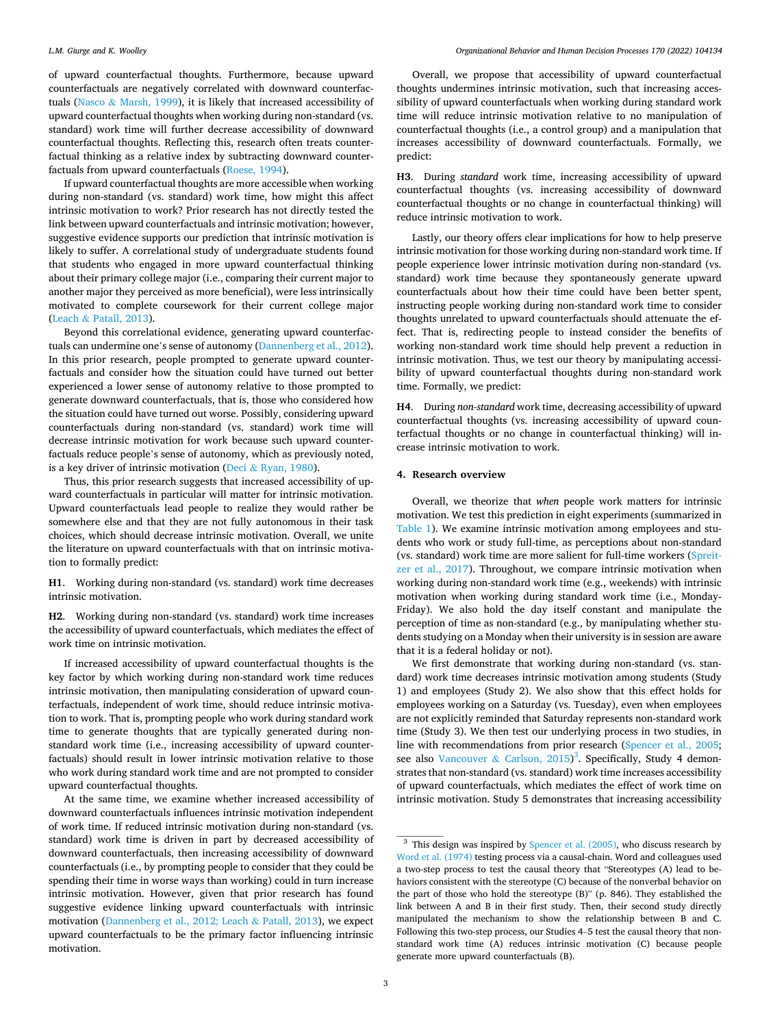#### *L.M. Giurge and K. Woolley*

of upward counterfactual thoughts. Furthermore, because upward counterfactuals are negatively correlated with downward counterfactuals (Nasco & [Marsh, 1999](#page-12-0)), it is likely that increased accessibility of upward counterfactual thoughts when working during non-standard (vs. standard) work time will further decrease accessibility of downward counterfactual thoughts. Reflecting this, research often treats counterfactual thinking as a relative index by subtracting downward counterfactuals from upward counterfactuals [\(Roese, 1994](#page-12-0)).

If upward counterfactual thoughts are more accessible when working during non-standard (vs. standard) work time, how might this affect intrinsic motivation to work? Prior research has not directly tested the link between upward counterfactuals and intrinsic motivation; however, suggestive evidence supports our prediction that intrinsic motivation is likely to suffer. A correlational study of undergraduate students found that students who engaged in more upward counterfactual thinking about their primary college major (i.e., comparing their current major to another major they perceived as more beneficial), were less intrinsically motivated to complete coursework for their current college major (Leach & [Patall, 2013\)](#page-12-0).

Beyond this correlational evidence, generating upward counterfactuals can undermine one's sense of autonomy [\(Dannenberg et al., 2012](#page-12-0)). In this prior research, people prompted to generate upward counterfactuals and consider how the situation could have turned out better experienced a lower sense of autonomy relative to those prompted to generate downward counterfactuals, that is, those who considered how the situation could have turned out worse. Possibly, considering upward counterfactuals during non-standard (vs. standard) work time will decrease intrinsic motivation for work because such upward counterfactuals reduce people's sense of autonomy, which as previously noted, is a key driver of intrinsic motivation (Deci & [Ryan, 1980](#page-12-0)).

Thus, this prior research suggests that increased accessibility of upward counterfactuals in particular will matter for intrinsic motivation. Upward counterfactuals lead people to realize they would rather be somewhere else and that they are not fully autonomous in their task choices, which should decrease intrinsic motivation. Overall, we unite the literature on upward counterfactuals with that on intrinsic motivation to formally predict:

**H1**. Working during non-standard (vs. standard) work time decreases intrinsic motivation.

**H2**. Working during non-standard (vs. standard) work time increases the accessibility of upward counterfactuals, which mediates the effect of work time on intrinsic motivation.

If increased accessibility of upward counterfactual thoughts is the key factor by which working during non-standard work time reduces intrinsic motivation, then manipulating consideration of upward counterfactuals, independent of work time, should reduce intrinsic motivation to work. That is, prompting people who work during standard work time to generate thoughts that are typically generated during nonstandard work time (i.e., increasing accessibility of upward counterfactuals) should result in lower intrinsic motivation relative to those who work during standard work time and are not prompted to consider upward counterfactual thoughts.

At the same time, we examine whether increased accessibility of downward counterfactuals influences intrinsic motivation independent of work time. If reduced intrinsic motivation during non-standard (vs. standard) work time is driven in part by decreased accessibility of downward counterfactuals, then increasing accessibility of downward counterfactuals (i.e., by prompting people to consider that they could be spending their time in worse ways than working) could in turn increase intrinsic motivation. However, given that prior research has found suggestive evidence linking upward counterfactuals with intrinsic motivation ([Dannenberg et al., 2012; Leach](#page-12-0) & Patall, 2013), we expect upward counterfactuals to be the primary factor influencing intrinsic motivation.

Overall, we propose that accessibility of upward counterfactual thoughts undermines intrinsic motivation, such that increasing accessibility of upward counterfactuals when working during standard work time will reduce intrinsic motivation relative to no manipulation of counterfactual thoughts (i.e., a control group) and a manipulation that increases accessibility of downward counterfactuals. Formally, we predict:

**H3**. During *standard* work time, increasing accessibility of upward counterfactual thoughts (vs. increasing accessibility of downward counterfactual thoughts or no change in counterfactual thinking) will reduce intrinsic motivation to work.

Lastly, our theory offers clear implications for how to help preserve intrinsic motivation for those working during non-standard work time. If people experience lower intrinsic motivation during non-standard (vs. standard) work time because they spontaneously generate upward counterfactuals about how their time could have been better spent, instructing people working during non-standard work time to consider thoughts unrelated to upward counterfactuals should attenuate the effect. That is, redirecting people to instead consider the benefits of working non-standard work time should help prevent a reduction in intrinsic motivation. Thus, we test our theory by manipulating accessibility of upward counterfactual thoughts during non-standard work time. Formally, we predict:

**H4**. During *non-standard* work time, decreasing accessibility of upward counterfactual thoughts (vs. increasing accessibility of upward counterfactual thoughts or no change in counterfactual thinking) will increase intrinsic motivation to work.

#### **4. Research overview**

Overall, we theorize that *when* people work matters for intrinsic motivation. We test this prediction in eight experiments (summarized in [Table 1\)](#page-3-0). We examine intrinsic motivation among employees and students who work or study full-time, as perceptions about non-standard (vs. standard) work time are more salient for full-time workers [\(Spreit](#page-13-0)[zer et al., 2017](#page-13-0)). Throughout, we compare intrinsic motivation when working during non-standard work time (e.g., weekends) with intrinsic motivation when working during standard work time (i.e., Monday-Friday). We also hold the day itself constant and manipulate the perception of time as non-standard (e.g., by manipulating whether students studying on a Monday when their university is in session are aware that it is a federal holiday or not).

We first demonstrate that working during non-standard (vs. standard) work time decreases intrinsic motivation among students (Study 1) and employees (Study 2). We also show that this effect holds for employees working on a Saturday (vs. Tuesday), even when employees are not explicitly reminded that Saturday represents non-standard work time (Study 3). We then test our underlying process in two studies, in line with recommendations from prior research [\(Spencer et al., 2005](#page-13-0); see also Vancouver & Carlson,  $2015$ <sup>3</sup>. Specifically, Study 4 demonstrates that non-standard (vs. standard) work time increases accessibility of upward counterfactuals, which mediates the effect of work time on intrinsic motivation. Study 5 demonstrates that increasing accessibility

 $3$  This design was inspired by [Spencer et al. \(2005\)](#page-13-0), who discuss research by [Word et al. \(1974\)](#page-13-0) testing process via a causal-chain. Word and colleagues used a two-step process to test the causal theory that "Stereotypes (A) lead to behaviors consistent with the stereotype (C) because of the nonverbal behavior on the part of those who hold the stereotype (B)" (p. 846). They established the link between A and B in their first study. Then, their second study directly manipulated the mechanism to show the relationship between B and C. Following this two-step process, our Studies 4–5 test the causal theory that nonstandard work time (A) reduces intrinsic motivation (C) because people generate more upward counterfactuals (B).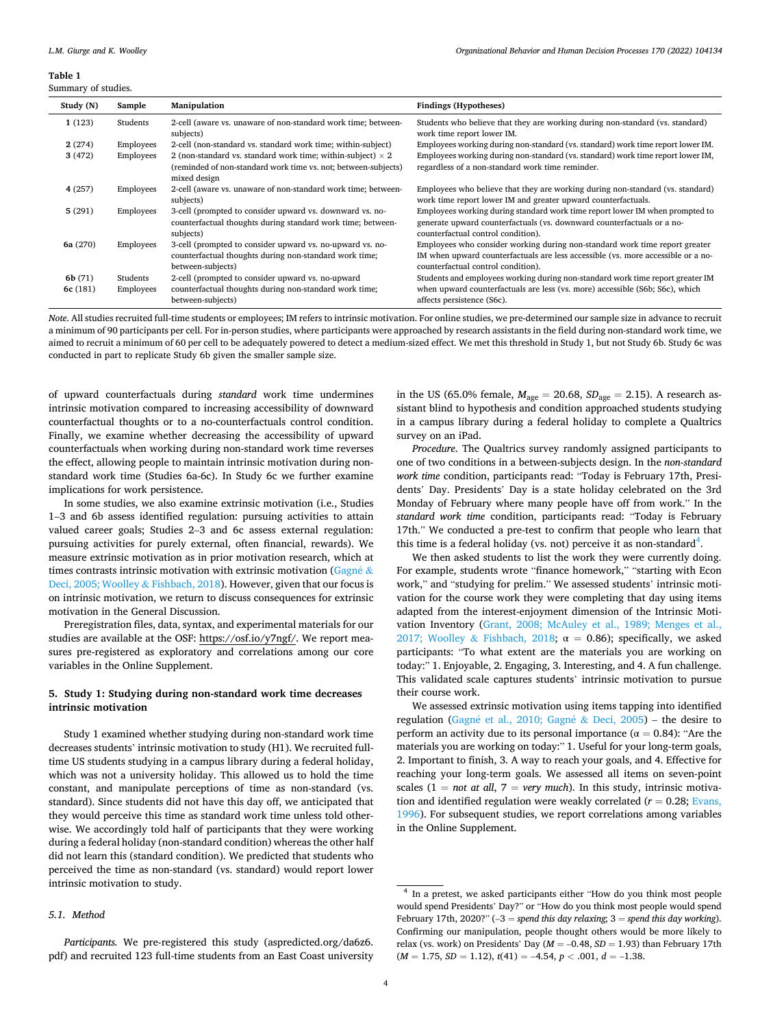#### <span id="page-3-0"></span>**Table 1**

Summary of studies.

| Study (N) | Sample    | Manipulation                                                                                                                                         | <b>Findings (Hypotheses)</b>                                                                                                                                                                          |
|-----------|-----------|------------------------------------------------------------------------------------------------------------------------------------------------------|-------------------------------------------------------------------------------------------------------------------------------------------------------------------------------------------------------|
| 1(123)    | Students  | 2-cell (aware vs. unaware of non-standard work time; between-<br>subjects)                                                                           | Students who believe that they are working during non-standard (vs. standard)<br>work time report lower IM.                                                                                           |
| 2(274)    | Employees | 2-cell (non-standard vs. standard work time; within-subject)                                                                                         | Employees working during non-standard (vs. standard) work time report lower IM.                                                                                                                       |
| 3(472)    | Employees | 2 (non-standard vs. standard work time; within-subject) $\times$ 2<br>(reminded of non-standard work time vs. not; between-subjects)<br>mixed design | Employees working during non-standard (vs. standard) work time report lower IM,<br>regardless of a non-standard work time reminder.                                                                   |
| 4(257)    | Employees | 2-cell (aware vs. unaware of non-standard work time; between-<br>subjects)                                                                           | Employees who believe that they are working during non-standard (vs. standard)<br>work time report lower IM and greater upward counterfactuals.                                                       |
| 5(291)    | Employees | 3-cell (prompted to consider upward vs. downward vs. no-<br>counterfactual thoughts during standard work time; between-<br>subjects)                 | Employees working during standard work time report lower IM when prompted to<br>generate upward counterfactuals (vs. downward counterfactuals or a no-<br>counterfactual control condition).          |
| 6a (270)  | Employees | 3-cell (prompted to consider upward vs. no-upward vs. no-<br>counterfactual thoughts during non-standard work time;<br>between-subjects)             | Employees who consider working during non-standard work time report greater<br>IM when upward counterfactuals are less accessible (vs. more accessible or a no-<br>counterfactual control condition). |
| 6b(71)    | Students  | 2-cell (prompted to consider upward vs. no-upward                                                                                                    | Students and employees working during non-standard work time report greater IM                                                                                                                        |
| 6c (181)  | Employees | counterfactual thoughts during non-standard work time;<br>between-subjects)                                                                          | when upward counterfactuals are less (vs. more) accessible (S6b; S6c), which<br>affects persistence (S6c).                                                                                            |

*Note*. All studies recruited full-time students or employees; IM refers to intrinsic motivation. For online studies, we pre-determined our sample size in advance to recruit a minimum of 90 participants per cell. For in-person studies, where participants were approached by research assistants in the field during non-standard work time, we aimed to recruit a minimum of 60 per cell to be adequately powered to detect a medium-sized effect. We met this threshold in Study 1, but not Study 6b. Study 6c was conducted in part to replicate Study 6b given the smaller sample size.

of upward counterfactuals during *standard* work time undermines intrinsic motivation compared to increasing accessibility of downward counterfactual thoughts or to a no-counterfactuals control condition. Finally, we examine whether decreasing the accessibility of upward counterfactuals when working during non-standard work time reverses the effect, allowing people to maintain intrinsic motivation during nonstandard work time (Studies 6a-6c). In Study 6c we further examine implications for work persistence.

In some studies, we also examine extrinsic motivation (i.e., Studies 1–3 and 6b assess identified regulation: pursuing activities to attain valued career goals; Studies 2–3 and 6c assess external regulation: pursuing activities for purely external, often financial, rewards). We measure extrinsic motivation as in prior motivation research, which at times contrasts intrinsic motivation with extrinsic motivation ( $\frac{Gagn\acute{e} \&$ [Deci, 2005; Woolley](#page-12-0) & Fishbach, 2018). However, given that our focus is on intrinsic motivation, we return to discuss consequences for extrinsic motivation in the General Discussion.

Preregistration files, data, syntax, and experimental materials for our studies are available at the OSF: https://osf.io/y7ngf/. We report measures pre-registered as exploratory and correlations among our core variables in the Online Supplement.

# **5. Study 1: Studying during non-standard work time decreases intrinsic motivation**

Study 1 examined whether studying during non-standard work time decreases students' intrinsic motivation to study (H1). We recruited fulltime US students studying in a campus library during a federal holiday, which was not a university holiday. This allowed us to hold the time constant, and manipulate perceptions of time as non-standard (vs. standard). Since students did not have this day off, we anticipated that they would perceive this time as standard work time unless told otherwise. We accordingly told half of participants that they were working during a federal holiday (non-standard condition) whereas the other half did not learn this (standard condition). We predicted that students who perceived the time as non-standard (vs. standard) would report lower intrinsic motivation to study.

## *5.1. Method*

*Participants.* We pre-registered this study (aspredicted.org/da6z6. pdf) and recruited 123 full-time students from an East Coast university in the US (65.0% female,  $M_{\text{age}} = 20.68$ ,  $SD_{\text{age}} = 2.15$ ). A research assistant blind to hypothesis and condition approached students studying in a campus library during a federal holiday to complete a Qualtrics survey on an iPad.

*Procedure*. The Qualtrics survey randomly assigned participants to one of two conditions in a between-subjects design. In the *non-standard work time* condition, participants read: "Today is February 17th, Presidents' Day. Presidents' Day is a state holiday celebrated on the 3rd Monday of February where many people have off from work." In the *standard work time* condition, participants read: "Today is February 17th." We conducted a pre-test to confirm that people who learn that this time is a federal holiday (vs. not) perceive it as non-standard<sup>4</sup>.

We then asked students to list the work they were currently doing. For example, students wrote "finance homework," "starting with Econ work," and "studying for prelim." We assessed students' intrinsic motivation for the course work they were completing that day using items adapted from the interest-enjoyment dimension of the Intrinsic Motivation Inventory [\(Grant, 2008; McAuley et al., 1989; Menges et al.,](#page-12-0)  2017; Woolley & [Fishbach, 2018;](#page-12-0)  $\alpha = 0.86$ ); specifically, we asked participants: "To what extent are the materials you are working on today:" 1. Enjoyable, 2. Engaging, 3. Interesting, and 4. A fun challenge. This validated scale captures students' intrinsic motivation to pursue their course work.

We assessed extrinsic motivation using items tapping into identified regulation (Gagné et al., 2010; Gagné & Deci, 2005) – the desire to perform an activity due to its personal importance ( $\alpha = 0.84$ ): "Are the materials you are working on today:" 1. Useful for your long-term goals, 2. Important to finish, 3. A way to reach your goals, and 4. Effective for reaching your long-term goals. We assessed all items on seven-point scales  $(1 = not at all, 7 = very much)$ . In this study, intrinsic motivation and identified regulation were weakly correlated  $(r = 0.28;$  Evans, [1996\)](#page-12-0). For subsequent studies, we report correlations among variables in the Online Supplement.

<sup>4</sup> In a pretest, we asked participants either "How do you think most people would spend Presidents' Day?" or "How do you think most people would spend February 17th, 2020?" (–3 = *spend this day relaxing*; 3 = *spend this day working*). Confirming our manipulation, people thought others would be more likely to relax (vs. work) on Presidents' Day ( $M = -0.48$ ,  $SD = 1.93$ ) than February 17th  $(M = 1.75, SD = 1.12), t(41) = -4.54, p < .001, d = -1.38.$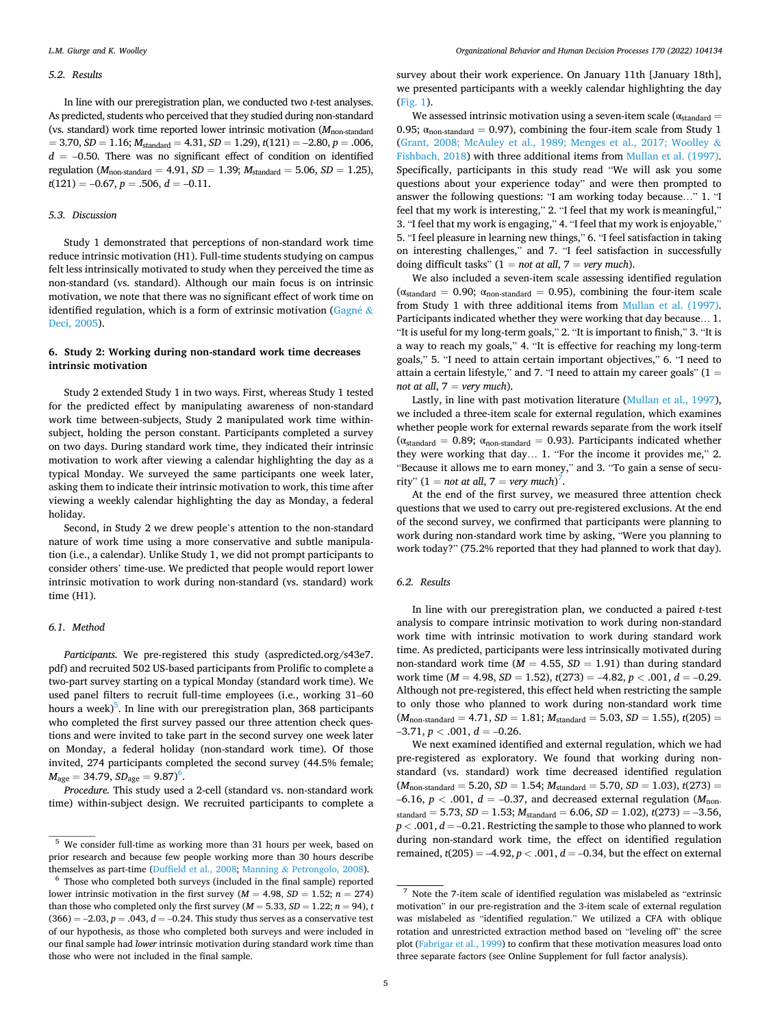#### *5.2. Results*

In line with our preregistration plan, we conducted two *t*-test analyses. As predicted, students who perceived that they studied during non-standard (vs. standard) work time reported lower intrinsic motivation ( $M_{\text{non-standard}}$ )  $= 3.70, SD = 1.16; M<sub>standard</sub> = 4.31, SD = 1.29, t(121) = -2.80, p = .006,$  $d = -0.50$ . There was no significant effect of condition on identified regulation ( $M_{\text{non-standard}} = 4.91$ ,  $SD = 1.39$ ;  $M_{\text{standard}} = 5.06$ ,  $SD = 1.25$ ),  $t(121) = -0.67, p = .506, d = -0.11.$ 

## *5.3. Discussion*

Study 1 demonstrated that perceptions of non-standard work time reduce intrinsic motivation (H1). Full-time students studying on campus felt less intrinsically motivated to study when they perceived the time as non-standard (vs. standard). Although our main focus is on intrinsic motivation, we note that there was no significant effect of work time on identified regulation, which is a form of extrinsic motivation ([Gagn](#page-12-0)é  $\&$ [Deci, 2005\)](#page-12-0).

# **6. Study 2: Working during non-standard work time decreases intrinsic motivation**

Study 2 extended Study 1 in two ways. First, whereas Study 1 tested for the predicted effect by manipulating awareness of non-standard work time between-subjects, Study 2 manipulated work time withinsubject, holding the person constant. Participants completed a survey on two days. During standard work time, they indicated their intrinsic motivation to work after viewing a calendar highlighting the day as a typical Monday. We surveyed the same participants one week later, asking them to indicate their intrinsic motivation to work, this time after viewing a weekly calendar highlighting the day as Monday, a federal holiday.

Second, in Study 2 we drew people's attention to the non-standard nature of work time using a more conservative and subtle manipulation (i.e., a calendar). Unlike Study 1, we did not prompt participants to consider others' time-use. We predicted that people would report lower intrinsic motivation to work during non-standard (vs. standard) work time (H1).

# *6.1. Method*

*Participants.* We pre-registered this study (aspredicted.org/s43e7. pdf) and recruited 502 US-based participants from Prolific to complete a two-part survey starting on a typical Monday (standard work time). We used panel filters to recruit full-time employees (i.e., working 31–60 hours a week)<sup>5</sup>. In line with our preregistration plan, 368 participants who completed the first survey passed our three attention check questions and were invited to take part in the second survey one week later on Monday, a federal holiday (non-standard work time). Of those invited, 274 participants completed the second survey (44.5% female;  $M_{\text{age}} = 34.79, SD_{\text{age}} = 9.87$ <sup>6</sup>.

*Procedure.* This study used a 2-cell (standard vs. non-standard work time) within-subject design. We recruited participants to complete a

survey about their work experience. On January 11th [January 18th], we presented participants with a weekly calendar highlighting the day ([Fig. 1\)](#page-5-0).

We assessed intrinsic motivation using a seven-item scale ( $\alpha_{standard}$ ) 0.95;  $\alpha_{\text{non-standard}} = 0.97$ , combining the four-item scale from Study 1 ([Grant, 2008; McAuley et al., 1989; Menges et al., 2017; Woolley](#page-12-0) & [Fishbach, 2018\)](#page-12-0) with three additional items from [Mullan et al. \(1997\)](#page-12-0). Specifically, participants in this study read "We will ask you some questions about your experience today" and were then prompted to answer the following questions: "I am working today because…" 1. "I feel that my work is interesting," 2. "I feel that my work is meaningful," 3. "I feel that my work is engaging," 4. "I feel that my work is enjoyable," 5. "I feel pleasure in learning new things," 6. "I feel satisfaction in taking on interesting challenges," and 7. "I feel satisfaction in successfully doing difficult tasks" (1 = *not at all*, 7 = *very much*).

We also included a seven-item scale assessing identified regulation ( $\alpha_{standard} = 0.90$ ;  $\alpha_{non-standard} = 0.95$ ), combining the four-item scale from Study 1 with three additional items from [Mullan et al. \(1997\)](#page-12-0). Participants indicated whether they were working that day because… 1. "It is useful for my long-term goals," 2. "It is important to finish," 3. "It is a way to reach my goals," 4. "It is effective for reaching my long-term goals," 5. "I need to attain certain important objectives," 6. "I need to attain a certain lifestyle," and 7. "I need to attain my career goals"  $(1 =$ *not at all*, 7 = *very much*).

Lastly, in line with past motivation literature [\(Mullan et al., 1997](#page-12-0)), we included a three-item scale for external regulation, which examines whether people work for external rewards separate from the work itself ( $\alpha_{standard} = 0.89$ ;  $\alpha_{non-standard} = 0.93$ ). Participants indicated whether they were working that day… 1. "For the income it provides me," 2. "Because it allows me to earn money," and 3. "To gain a sense of security"  $(1 = not at all, 7 = very much)^7$ .

At the end of the first survey, we measured three attention check questions that we used to carry out pre-registered exclusions. At the end of the second survey, we confirmed that participants were planning to work during non-standard work time by asking, "Were you planning to work today?" (75.2% reported that they had planned to work that day).

## *6.2. Results*

In line with our preregistration plan, we conducted a paired *t*-test analysis to compare intrinsic motivation to work during non-standard work time with intrinsic motivation to work during standard work time. As predicted, participants were less intrinsically motivated during non-standard work time ( $M = 4.55$ ,  $SD = 1.91$ ) than during standard work time (*M* = 4.98, *SD* = 1.52), *t*(273) = –4.82, *p <* .001, *d* = –0.29. Although not pre-registered, this effect held when restricting the sample to only those who planned to work during non-standard work time  $(M_{\text{non-standard}} = 4.71, SD = 1.81; M_{\text{standard}} = 5.03, SD = 1.55)$ ,  $t(205) =$  $-3.71, p < .001, d = -0.26$ .

We next examined identified and external regulation, which we had pre-registered as exploratory. We found that working during nonstandard (vs. standard) work time decreased identified regulation  $(M_{\text{non-standard}} = 5.20, SD = 1.54; M_{\text{standard}} = 5.70, SD = 1.03), t(273) =$ –6.16,  $p < .001$ ,  $d = -0.37$ , and decreased external regulation ( $M_{\text{non}}$ )  $s_{standard} = 5.73$ ,  $SD = 1.53$ ;  $M_{standard} = 6.06$ ,  $SD = 1.02$ ),  $t(273) = -3.56$ ,  $p < .001$ ,  $d = -0.21$ . Restricting the sample to those who planned to work during non-standard work time, the effect on identified regulation remained,  $t(205) = -4.92$ ,  $p < .001$ ,  $d = -0.34$ , but the effect on external

<sup>5</sup> We consider full-time as working more than 31 hours per week, based on prior research and because few people working more than 30 hours describe themselves as part-time (Duffield et al., 2008; Manning & [Petrongolo, 2008\)](#page-12-0).  $^6$  Those who completed both surveys (included in the final sample) reported

lower intrinsic motivation in the first survey ( $M = 4.98$ ,  $SD = 1.52$ ;  $n = 274$ ) than those who completed only the first survey ( $M = 5.33$ ,  $SD = 1.22$ ;  $n = 94$ ), *t*  $(366) = -2.03, p = .043, d = -0.24$ . This study thus serves as a conservative test of our hypothesis, as those who completed both surveys and were included in our final sample had *lower* intrinsic motivation during standard work time than those who were not included in the final sample.

<sup>7</sup> Note the 7-item scale of identified regulation was mislabeled as "extrinsic motivation" in our pre-registration and the 3-item scale of external regulation was mislabeled as "identified regulation." We utilized a CFA with oblique rotation and unrestricted extraction method based on "leveling off" the scree plot ([Fabrigar et al., 1999\)](#page-12-0) to confirm that these motivation measures load onto three separate factors (see Online Supplement for full factor analysis).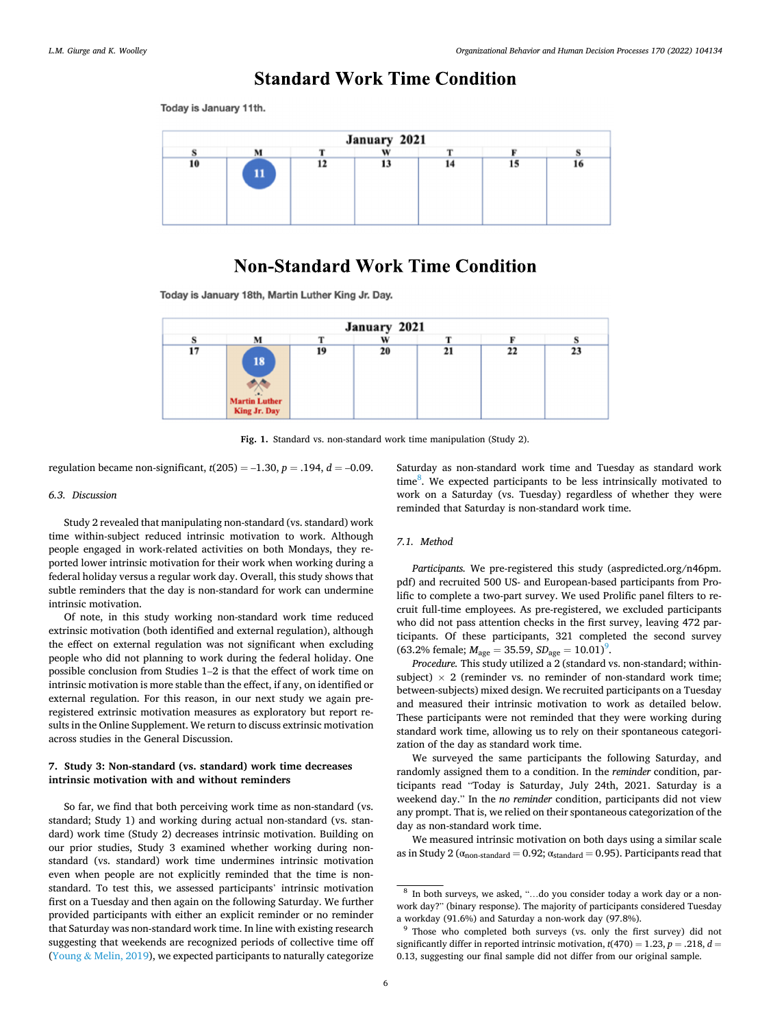# **Standard Work Time Condition**

<span id="page-5-0"></span>Today is January 11th.



# **Non-Standard Work Time Condition**

Today is January 18th, Martin Luther King Jr. Day.

| January 2021 |                                            |    |    |    |    |    |  |  |  |
|--------------|--------------------------------------------|----|----|----|----|----|--|--|--|
|              | M                                          |    | W  |    |    |    |  |  |  |
| 17           | 18<br><b>Martin Luther</b><br>King Jr. Day | 19 | 20 | 21 | 22 | 23 |  |  |  |

**Fig. 1.** Standard vs. non-standard work time manipulation (Study 2).

regulation became non-significant,  $t(205) = -1.30$ ,  $p = .194$ ,  $d = -0.09$ .

# *6.3. Discussion*

Study 2 revealed that manipulating non-standard (vs. standard) work time within-subject reduced intrinsic motivation to work. Although people engaged in work-related activities on both Mondays, they reported lower intrinsic motivation for their work when working during a federal holiday versus a regular work day. Overall, this study shows that subtle reminders that the day is non-standard for work can undermine intrinsic motivation.

Of note, in this study working non-standard work time reduced extrinsic motivation (both identified and external regulation), although the effect on external regulation was not significant when excluding people who did not planning to work during the federal holiday. One possible conclusion from Studies 1–2 is that the effect of work time on intrinsic motivation is more stable than the effect, if any, on identified or external regulation. For this reason, in our next study we again preregistered extrinsic motivation measures as exploratory but report results in the Online Supplement. We return to discuss extrinsic motivation across studies in the General Discussion.

# **7. Study 3: Non-standard (vs. standard) work time decreases intrinsic motivation with and without reminders**

So far, we find that both perceiving work time as non-standard (vs. standard; Study 1) and working during actual non-standard (vs. standard) work time (Study 2) decreases intrinsic motivation. Building on our prior studies, Study 3 examined whether working during nonstandard (vs. standard) work time undermines intrinsic motivation even when people are not explicitly reminded that the time is nonstandard. To test this, we assessed participants' intrinsic motivation first on a Tuesday and then again on the following Saturday. We further provided participants with either an explicit reminder or no reminder that Saturday was non-standard work time. In line with existing research suggesting that weekends are recognized periods of collective time off (Young  $&$  [Melin, 2019\)](#page-13-0), we expected participants to naturally categorize Saturday as non-standard work time and Tuesday as standard work time<sup>8</sup>. We expected participants to be less intrinsically motivated to work on a Saturday (vs. Tuesday) regardless of whether they were reminded that Saturday is non-standard work time.

# *7.1. Method*

*Participants.* We pre-registered this study (aspredicted.org/n46pm. pdf) and recruited 500 US- and European-based participants from Prolific to complete a two-part survey. We used Prolific panel filters to recruit full-time employees. As pre-registered, we excluded participants who did not pass attention checks in the first survey, leaving 472 participants. Of these participants, 321 completed the second survey  $(63.2\% \text{ female}; M_{\text{age}} = 35.59, SD_{\text{age}} = 10.01)^9.$ 

Procedure. This study utilized a 2 (standard vs. non-standard; withinsubject)  $\times$  2 (reminder vs. no reminder of non-standard work time; between-subjects) mixed design. We recruited participants on a Tuesday and measured their intrinsic motivation to work as detailed below. These participants were not reminded that they were working during standard work time, allowing us to rely on their spontaneous categorization of the day as standard work time.

We surveyed the same participants the following Saturday, and randomly assigned them to a condition. In the *reminder* condition, participants read "Today is Saturday, July 24th, 2021. Saturday is a weekend day." In the *no reminder* condition, participants did not view any prompt. That is, we relied on their spontaneous categorization of the day as non-standard work time.

We measured intrinsic motivation on both days using a similar scale as in Study 2 ( $\alpha$ <sub>non-standard</sub> = 0.92;  $\alpha$ <sub>standard</sub> = 0.95). Participants read that

<sup>8</sup> In both surveys, we asked, "…do you consider today a work day or a nonwork day?" (binary response). The majority of participants considered Tuesday a workday (91.6%) and Saturday a non-work day (97.8%).<br><sup>9</sup> Those who completed both surveys (vs. only the first survey) did not

significantly differ in reported intrinsic motivation,  $t(470) = 1.23$ ,  $p = .218$ ,  $d =$ 0.13, suggesting our final sample did not differ from our original sample.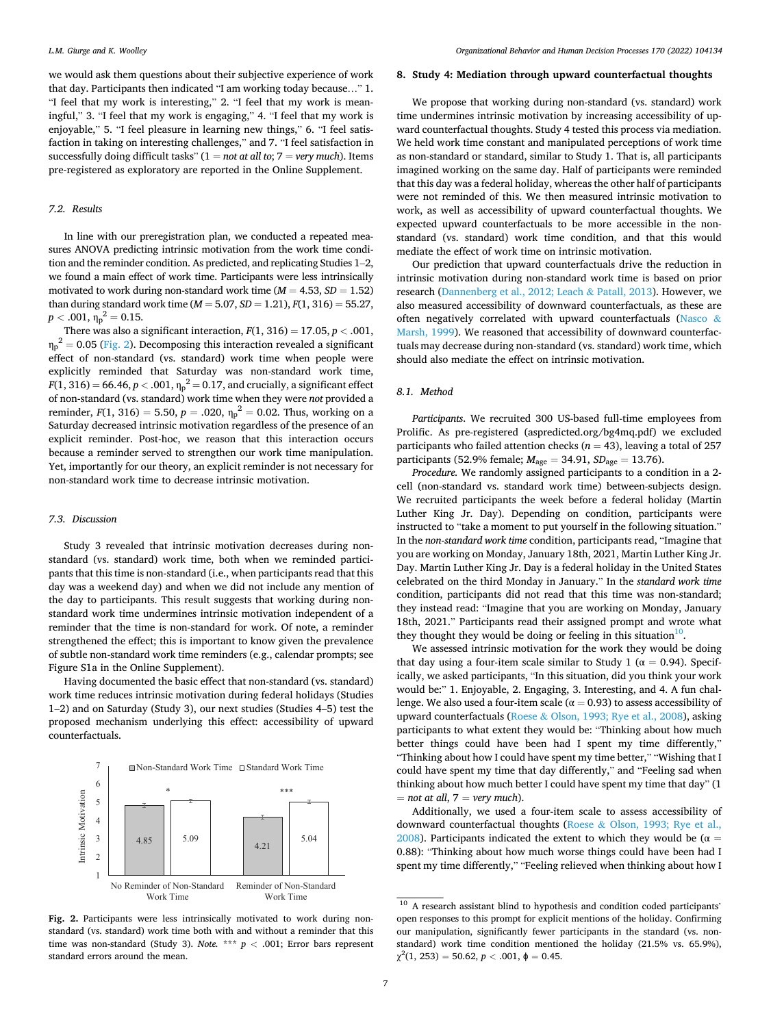we would ask them questions about their subjective experience of work that day. Participants then indicated "I am working today because…" 1. "I feel that my work is interesting," 2. "I feel that my work is meaningful," 3. "I feel that my work is engaging," 4. "I feel that my work is enjoyable," 5. "I feel pleasure in learning new things," 6. "I feel satisfaction in taking on interesting challenges," and 7. "I feel satisfaction in successfully doing difficult tasks"  $(1 = not at all to; 7 = very much)$ . Items pre-registered as exploratory are reported in the Online Supplement.

## *7.2. Results*

In line with our preregistration plan, we conducted a repeated measures ANOVA predicting intrinsic motivation from the work time condition and the reminder condition. As predicted, and replicating Studies 1–2, we found a main effect of work time. Participants were less intrinsically motivated to work during non-standard work time  $(M = 4.53, SD = 1.52)$ than during standard work time ( $M = 5.07$ ,  $SD = 1.21$ ),  $F(1, 316) = 55.27$ ,  $p < .001, \eta_p^2 = 0.15.$ 

There was also a significant interaction,  $F(1, 316) = 17.05$ ,  $p < .001$ ,  $\eta_p^2$  = 0.05 (Fig. 2). Decomposing this interaction revealed a significant effect of non-standard (vs. standard) work time when people were explicitly reminded that Saturday was non-standard work time,  $F(1, 316) = 66.46, p < .001, \eta_p^2 = 0.17$ , and crucially, a significant effect of non-standard (vs. standard) work time when they were *not* provided a reminder,  $F(1, 316) = 5.50$ ,  $p = .020$ ,  $\eta_p^2 = 0.02$ . Thus, working on a Saturday decreased intrinsic motivation regardless of the presence of an explicit reminder. Post-hoc, we reason that this interaction occurs because a reminder served to strengthen our work time manipulation. Yet, importantly for our theory, an explicit reminder is not necessary for non-standard work time to decrease intrinsic motivation.

#### *7.3. Discussion*

Study 3 revealed that intrinsic motivation decreases during nonstandard (vs. standard) work time, both when we reminded participants that this time is non-standard (i.e., when participants read that this day was a weekend day) and when we did not include any mention of the day to participants. This result suggests that working during nonstandard work time undermines intrinsic motivation independent of a reminder that the time is non-standard for work. Of note, a reminder strengthened the effect; this is important to know given the prevalence of subtle non-standard work time reminders (e.g., calendar prompts; see Figure S1a in the Online Supplement).

Having documented the basic effect that non-standard (vs. standard) work time reduces intrinsic motivation during federal holidays (Studies 1–2) and on Saturday (Study 3), our next studies (Studies 4–5) test the proposed mechanism underlying this effect: accessibility of upward counterfactuals.



# **8. Study 4: Mediation through upward counterfactual thoughts**

We propose that working during non-standard (vs. standard) work time undermines intrinsic motivation by increasing accessibility of upward counterfactual thoughts. Study 4 tested this process via mediation. We held work time constant and manipulated perceptions of work time as non-standard or standard, similar to Study 1. That is, all participants imagined working on the same day. Half of participants were reminded that this day was a federal holiday, whereas the other half of participants were not reminded of this. We then measured intrinsic motivation to work, as well as accessibility of upward counterfactual thoughts. We expected upward counterfactuals to be more accessible in the nonstandard (vs. standard) work time condition, and that this would mediate the effect of work time on intrinsic motivation.

Our prediction that upward counterfactuals drive the reduction in intrinsic motivation during non-standard work time is based on prior research [\(Dannenberg et al., 2012; Leach](#page-12-0) & Patall, 2013). However, we also measured accessibility of downward counterfactuals, as these are often negatively correlated with upward counterfactuals ([Nasco](#page-12-0) & [Marsh, 1999](#page-12-0)). We reasoned that accessibility of downward counterfactuals may decrease during non-standard (vs. standard) work time, which should also mediate the effect on intrinsic motivation.

# *8.1. Method*

*Participants*. We recruited 300 US-based full-time employees from Prolific. As pre-registered (aspredicted.org/bg4mq.pdf) we excluded participants who failed attention checks ( $n = 43$ ), leaving a total of 257 participants (52.9% female; *M*age = 34.91, *SD*age = 13.76).

*Procedure.* We randomly assigned participants to a condition in a 2 cell (non-standard vs. standard work time) between-subjects design. We recruited participants the week before a federal holiday (Martin Luther King Jr. Day). Depending on condition, participants were instructed to "take a moment to put yourself in the following situation." In the *non-standard work time* condition, participants read, "Imagine that you are working on Monday, January 18th, 2021, Martin Luther King Jr. Day. Martin Luther King Jr. Day is a federal holiday in the United States celebrated on the third Monday in January." In the *standard work time*  condition, participants did not read that this time was non-standard; they instead read: "Imagine that you are working on Monday, January 18th, 2021." Participants read their assigned prompt and wrote what they thought they would be doing or feeling in this situation<sup>10</sup>.

We assessed intrinsic motivation for the work they would be doing that day using a four-item scale similar to Study 1 ( $\alpha = 0.94$ ). Specifically, we asked participants, "In this situation, did you think your work would be:" 1. Enjoyable, 2. Engaging, 3. Interesting, and 4. A fun challenge. We also used a four-item scale ( $\alpha$  = 0.93) to assess accessibility of upward counterfactuals (Roese & [Olson, 1993; Rye et al., 2008\)](#page-12-0), asking participants to what extent they would be: "Thinking about how much better things could have been had I spent my time differently," "Thinking about how I could have spent my time better," "Wishing that I could have spent my time that day differently," and "Feeling sad when thinking about how much better I could have spent my time that day" (1  $=$  *not at all, 7*  $=$  *very much*).

Additionally, we used a four-item scale to assess accessibility of downward counterfactual thoughts (Roese & [Olson, 1993; Rye et al.,](#page-12-0)  [2008\)](#page-12-0). Participants indicated the extent to which they would be ( $\alpha =$ 0.88): "Thinking about how much worse things could have been had I spent my time differently," "Feeling relieved when thinking about how I

<sup>&</sup>lt;sup>10</sup> A research assistant blind to hypothesis and condition coded participants' open responses to this prompt for explicit mentions of the holiday. Confirming our manipulation, significantly fewer participants in the standard (vs. nonstandard) work time condition mentioned the holiday (21.5% vs. 65.9%),  $\chi^2(1, 253) = 50.62, p < .001, \phi = 0.45.$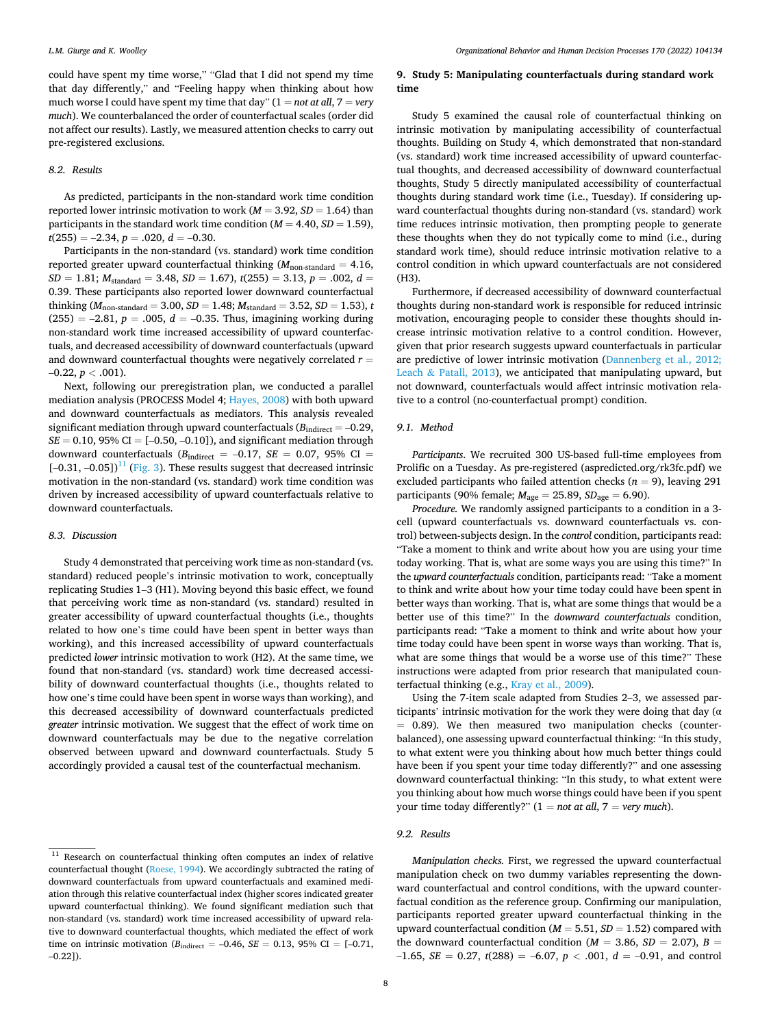could have spent my time worse," "Glad that I did not spend my time that day differently," and "Feeling happy when thinking about how much worse I could have spent my time that day"  $(1 = not at all, 7 = very$ *much*). We counterbalanced the order of counterfactual scales (order did not affect our results). Lastly, we measured attention checks to carry out pre-registered exclusions.

### *8.2. Results*

As predicted, participants in the non-standard work time condition reported lower intrinsic motivation to work ( $M = 3.92$ ,  $SD = 1.64$ ) than participants in the standard work time condition ( $M = 4.40$ ,  $SD = 1.59$ ),  $t(255) = -2.34, p = .020, d = -0.30.$ 

Participants in the non-standard (vs. standard) work time condition reported greater upward counterfactual thinking  $(M_{\text{non-standard}} = 4.16,$ *SD* = 1.81; *M*standard = 3.48, *SD* = 1.67), *t*(255) = 3.13, *p* = .002, *d* = 0.39. These participants also reported lower downward counterfactual thinking (*M*non-standard = 3.00, *SD* = 1.48; *M*standard = 3.52, *SD* = 1.53), *t*   $(255) = -2.81, p = .005, d = -0.35$ . Thus, imagining working during non-standard work time increased accessibility of upward counterfactuals, and decreased accessibility of downward counterfactuals (upward and downward counterfactual thoughts were negatively correlated *r* =  $-0.22, p < .001$ ).

Next, following our preregistration plan, we conducted a parallel mediation analysis (PROCESS Model 4; [Hayes, 2008\)](#page-12-0) with both upward and downward counterfactuals as mediators. This analysis revealed significant mediation through upward counterfactuals  $(B_{indirect} = -0.29,$  $SE = 0.10$ , 95% CI =  $[-0.50, -0.10]$ ), and significant mediation through downward counterfactuals ( $B_{indirect} = -0.17$ ,  $SE = 0.07$ , 95% CI =  $[-0.31, -0.05]$ <sup>11</sup> [\(Fig. 3](#page-8-0)). These results suggest that decreased intrinsic motivation in the non-standard (vs. standard) work time condition was driven by increased accessibility of upward counterfactuals relative to downward counterfactuals.

#### *8.3. Discussion*

Study 4 demonstrated that perceiving work time as non-standard (vs. standard) reduced people's intrinsic motivation to work, conceptually replicating Studies 1–3 (H1). Moving beyond this basic effect, we found that perceiving work time as non-standard (vs. standard) resulted in greater accessibility of upward counterfactual thoughts (i.e., thoughts related to how one's time could have been spent in better ways than working), and this increased accessibility of upward counterfactuals predicted *lower* intrinsic motivation to work (H2). At the same time, we found that non-standard (vs. standard) work time decreased accessibility of downward counterfactual thoughts (i.e., thoughts related to how one's time could have been spent in worse ways than working), and this decreased accessibility of downward counterfactuals predicted *greater* intrinsic motivation. We suggest that the effect of work time on downward counterfactuals may be due to the negative correlation observed between upward and downward counterfactuals. Study 5 accordingly provided a causal test of the counterfactual mechanism.

# **9. Study 5: Manipulating counterfactuals during standard work time**

Study 5 examined the causal role of counterfactual thinking on intrinsic motivation by manipulating accessibility of counterfactual thoughts. Building on Study 4, which demonstrated that non-standard (vs. standard) work time increased accessibility of upward counterfactual thoughts, and decreased accessibility of downward counterfactual thoughts, Study 5 directly manipulated accessibility of counterfactual thoughts during standard work time (i.e., Tuesday). If considering upward counterfactual thoughts during non-standard (vs. standard) work time reduces intrinsic motivation, then prompting people to generate these thoughts when they do not typically come to mind (i.e., during standard work time), should reduce intrinsic motivation relative to a control condition in which upward counterfactuals are not considered (H3).

Furthermore, if decreased accessibility of downward counterfactual thoughts during non-standard work is responsible for reduced intrinsic motivation, encouraging people to consider these thoughts should increase intrinsic motivation relative to a control condition. However, given that prior research suggests upward counterfactuals in particular are predictive of lower intrinsic motivation [\(Dannenberg et al., 2012;](#page-12-0)  Leach & Patall,  $2013$ ), we anticipated that manipulating upward, but not downward, counterfactuals would affect intrinsic motivation relative to a control (no-counterfactual prompt) condition.

# *9.1. Method*

*Participants*. We recruited 300 US-based full-time employees from Prolific on a Tuesday. As pre-registered (aspredicted.org/rk3fc.pdf) we excluded participants who failed attention checks  $(n = 9)$ , leaving 291 participants (90% female;  $M_{\text{age}} = 25.89$ ,  $SD_{\text{age}} = 6.90$ ).

*Procedure.* We randomly assigned participants to a condition in a 3 cell (upward counterfactuals vs. downward counterfactuals vs. control) between-subjects design. In the *control* condition, participants read: "Take a moment to think and write about how you are using your time today working. That is, what are some ways you are using this time?" In the *upward counterfactuals* condition, participants read: "Take a moment to think and write about how your time today could have been spent in better ways than working. That is, what are some things that would be a better use of this time?" In the *downward counterfactuals* condition, participants read: "Take a moment to think and write about how your time today could have been spent in worse ways than working. That is, what are some things that would be a worse use of this time?" These instructions were adapted from prior research that manipulated counterfactual thinking (e.g., [Kray et al., 2009](#page-12-0)).

Using the 7-item scale adapted from Studies 2–3, we assessed participants' intrinsic motivation for the work they were doing that day (α = 0.89). We then measured two manipulation checks (counterbalanced), one assessing upward counterfactual thinking: "In this study, to what extent were you thinking about how much better things could have been if you spent your time today differently?" and one assessing downward counterfactual thinking: "In this study, to what extent were you thinking about how much worse things could have been if you spent your time today differently?" (1 = *not at all*, 7 = *very much*).

#### *9.2. Results*

*Manipulation checks.* First, we regressed the upward counterfactual manipulation check on two dummy variables representing the downward counterfactual and control conditions, with the upward counterfactual condition as the reference group. Confirming our manipulation, participants reported greater upward counterfactual thinking in the upward counterfactual condition ( $M = 5.51$ ,  $SD = 1.52$ ) compared with the downward counterfactual condition ( $M = 3.86$ ,  $SD = 2.07$ ),  $B =$ –1.65, *SE* = 0.27, *t*(288) = –6.07, *p <* .001, *d* = –0.91, and control

<sup>&</sup>lt;sup>11</sup> Research on counterfactual thinking often computes an index of relative counterfactual thought ([Roese, 1994](#page-12-0)). We accordingly subtracted the rating of downward counterfactuals from upward counterfactuals and examined mediation through this relative counterfactual index (higher scores indicated greater upward counterfactual thinking). We found significant mediation such that non-standard (vs. standard) work time increased accessibility of upward relative to downward counterfactual thoughts, which mediated the effect of work time on intrinsic motivation ( $B_{indirect} = -0.46$ ,  $SE = 0.13$ , 95% CI = [-0.71,  $-0.22$ ]).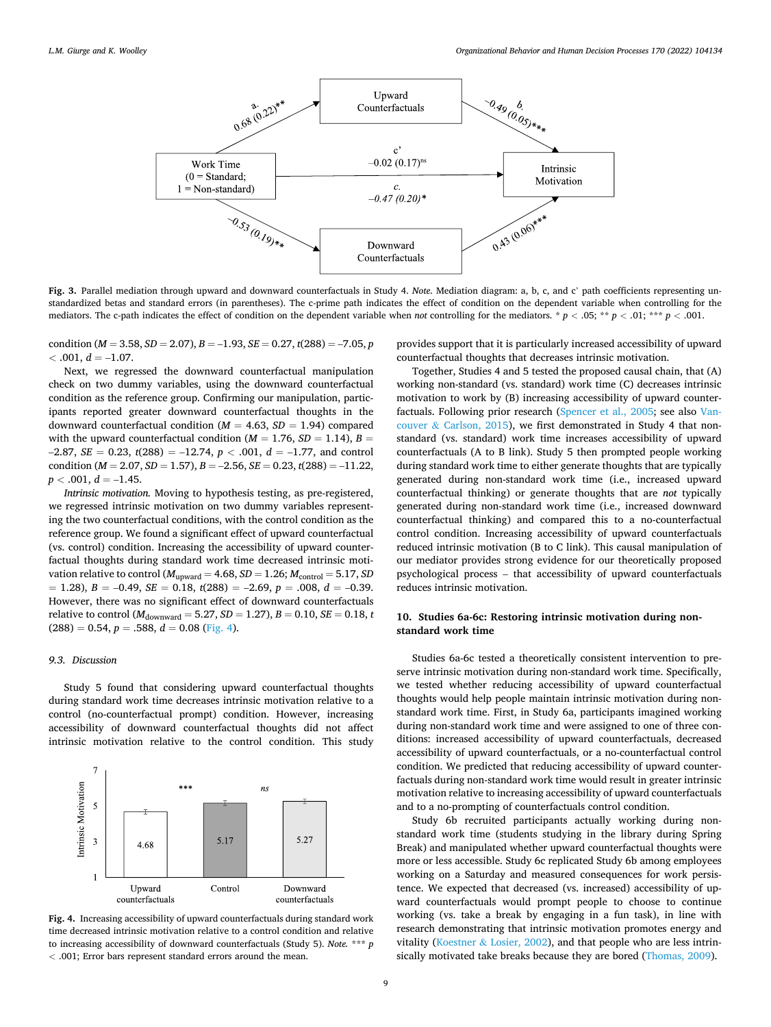<span id="page-8-0"></span>

**Fig. 3.** Parallel mediation through upward and downward counterfactuals in Study 4. *Note*. Mediation diagram: a, b, c, and c' path coefficients representing unstandardized betas and standard errors (in parentheses). The c-prime path indicates the effect of condition on the dependent variable when controlling for the mediators. The c-path indicates the effect of condition on the dependent variable when *not* controlling for the mediators. \*  $p < .05$ ; \*\*  $p < .01$ ; \*\*\*  $p < .001$ .

condition ( $M = 3.58$ ,  $SD = 2.07$ ),  $B = -1.93$ ,  $SE = 0.27$ ,  $t(288) = -7.05$ , *p*  $<$  .001,  $d = -1.07$ .

Next, we regressed the downward counterfactual manipulation check on two dummy variables, using the downward counterfactual condition as the reference group. Confirming our manipulation, participants reported greater downward counterfactual thoughts in the downward counterfactual condition ( $M = 4.63$ ,  $SD = 1.94$ ) compared with the upward counterfactual condition ( $M = 1.76$ ,  $SD = 1.14$ ),  $B =$  $-2.87$ , *SE* = 0.23, *t*(288) = -12.74, *p* < .001, *d* = -1.77, and control condition  $(M = 2.07, SD = 1.57), B = -2.56, SE = 0.23, t(288) = -11.22$  $p < .001, d = -1.45.$ 

*Intrinsic motivation.* Moving to hypothesis testing, as pre-registered, we regressed intrinsic motivation on two dummy variables representing the two counterfactual conditions, with the control condition as the reference group. We found a significant effect of upward counterfactual (vs. control) condition. Increasing the accessibility of upward counterfactual thoughts during standard work time decreased intrinsic motivation relative to control ( $M_{upward} = 4.68$ ,  $SD = 1.26$ ;  $M_{control} = 5.17$ ,  $SD$  $= 1.28$ ,  $B = -0.49$ ,  $SE = 0.18$ ,  $t(288) = -2.69$ ,  $p = .008$ ,  $d = -0.39$ . However, there was no significant effect of downward counterfactuals relative to control ( $M_{\text{downward}} = 5.27$ ,  $SD = 1.27$ ),  $B = 0.10$ ,  $SE = 0.18$ , *t*  $(288) = 0.54, p = .588, d = 0.08$  (Fig. 4).

## *9.3. Discussion*

Study 5 found that considering upward counterfactual thoughts during standard work time decreases intrinsic motivation relative to a control (no-counterfactual prompt) condition. However, increasing accessibility of downward counterfactual thoughts did not affect intrinsic motivation relative to the control condition. This study



**Fig. 4.** Increasing accessibility of upward counterfactuals during standard work time decreased intrinsic motivation relative to a control condition and relative to increasing accessibility of downward counterfactuals (Study 5). *Note.* \*\*\* *p <* .001; Error bars represent standard errors around the mean.

provides support that it is particularly increased accessibility of upward counterfactual thoughts that decreases intrinsic motivation.

Together, Studies 4 and 5 tested the proposed causal chain, that (A) working non-standard (vs. standard) work time (C) decreases intrinsic motivation to work by (B) increasing accessibility of upward counterfactuals. Following prior research [\(Spencer et al., 2005](#page-13-0); see also [Van](#page-13-0)couver & [Carlson, 2015\)](#page-13-0), we first demonstrated in Study 4 that nonstandard (vs. standard) work time increases accessibility of upward counterfactuals (A to B link). Study 5 then prompted people working during standard work time to either generate thoughts that are typically generated during non-standard work time (i.e., increased upward counterfactual thinking) or generate thoughts that are *not* typically generated during non-standard work time (i.e., increased downward counterfactual thinking) and compared this to a no-counterfactual control condition. Increasing accessibility of upward counterfactuals reduced intrinsic motivation (B to C link). This causal manipulation of our mediator provides strong evidence for our theoretically proposed psychological process – that accessibility of upward counterfactuals reduces intrinsic motivation.

# **10. Studies 6a-6c: Restoring intrinsic motivation during nonstandard work time**

Studies 6a-6c tested a theoretically consistent intervention to preserve intrinsic motivation during non-standard work time. Specifically, we tested whether reducing accessibility of upward counterfactual thoughts would help people maintain intrinsic motivation during nonstandard work time. First, in Study 6a, participants imagined working during non-standard work time and were assigned to one of three conditions: increased accessibility of upward counterfactuals, decreased accessibility of upward counterfactuals, or a no-counterfactual control condition. We predicted that reducing accessibility of upward counterfactuals during non-standard work time would result in greater intrinsic motivation relative to increasing accessibility of upward counterfactuals and to a no-prompting of counterfactuals control condition.

Study 6b recruited participants actually working during nonstandard work time (students studying in the library during Spring Break) and manipulated whether upward counterfactual thoughts were more or less accessible. Study 6c replicated Study 6b among employees working on a Saturday and measured consequences for work persistence. We expected that decreased (vs. increased) accessibility of upward counterfactuals would prompt people to choose to continue working (vs. take a break by engaging in a fun task), in line with research demonstrating that intrinsic motivation promotes energy and vitality (Koestner & [Losier, 2002](#page-12-0)), and that people who are less intrinsically motivated take breaks because they are bored ([Thomas, 2009](#page-13-0)).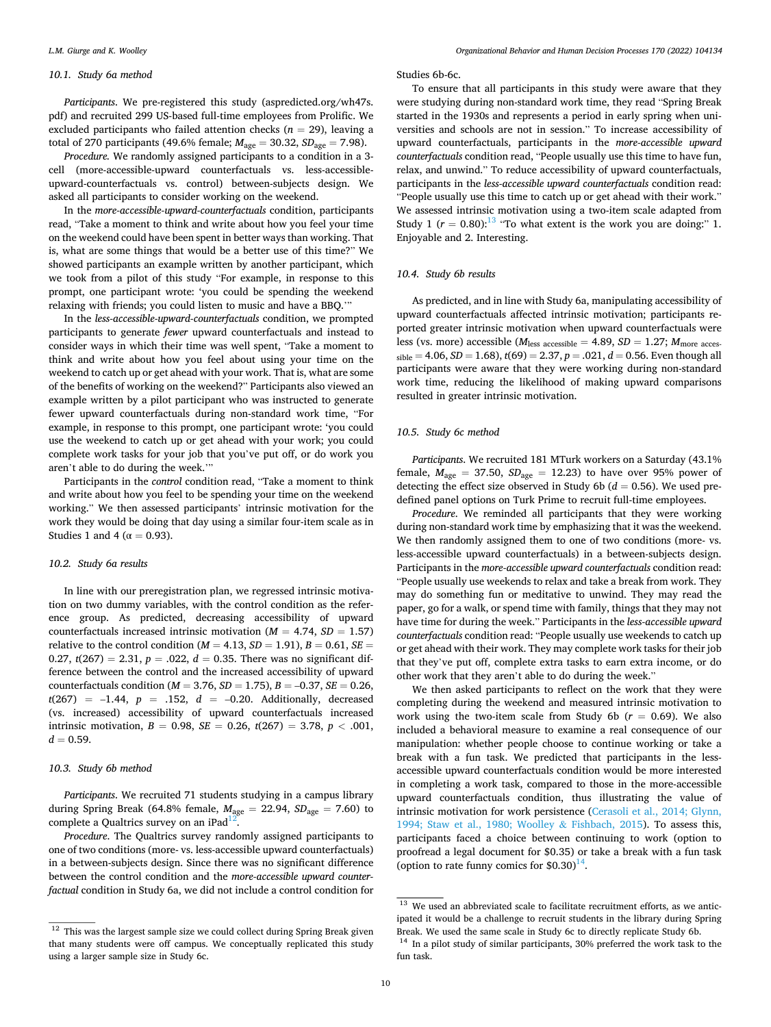### *10.1. Study 6a method*

*Participants*. We pre-registered this study (aspredicted.org/wh47s. pdf) and recruited 299 US-based full-time employees from Prolific. We excluded participants who failed attention checks ( $n = 29$ ), leaving a total of 270 participants (49.6% female; *M*age = 30.32, *SD*age = 7.98).

*Procedure.* We randomly assigned participants to a condition in a 3 cell (more-accessible-upward counterfactuals vs. less-accessibleupward-counterfactuals vs. control) between-subjects design. We asked all participants to consider working on the weekend.

In the *more-accessible-upward-counterfactuals* condition, participants read, "Take a moment to think and write about how you feel your time on the weekend could have been spent in better ways than working. That is, what are some things that would be a better use of this time?" We showed participants an example written by another participant, which we took from a pilot of this study "For example, in response to this prompt, one participant wrote: 'you could be spending the weekend relaxing with friends; you could listen to music and have a BBQ.'"

In the *less-accessible-upward-counterfactuals* condition, we prompted participants to generate *fewer* upward counterfactuals and instead to consider ways in which their time was well spent, "Take a moment to think and write about how you feel about using your time on the weekend to catch up or get ahead with your work. That is, what are some of the benefits of working on the weekend?" Participants also viewed an example written by a pilot participant who was instructed to generate fewer upward counterfactuals during non-standard work time, "For example, in response to this prompt, one participant wrote: 'you could use the weekend to catch up or get ahead with your work; you could complete work tasks for your job that you've put off, or do work you aren't able to do during the week.'"

Participants in the *control* condition read, "Take a moment to think and write about how you feel to be spending your time on the weekend working." We then assessed participants' intrinsic motivation for the work they would be doing that day using a similar four-item scale as in Studies 1 and 4 ( $\alpha$  = 0.93).

#### *10.2. Study 6a results*

In line with our preregistration plan, we regressed intrinsic motivation on two dummy variables, with the control condition as the reference group. As predicted, decreasing accessibility of upward counterfactuals increased intrinsic motivation ( $M = 4.74$ ,  $SD = 1.57$ ) relative to the control condition ( $M = 4.13$ ,  $SD = 1.91$ ),  $B = 0.61$ ,  $SE =$ 0.27,  $t(267) = 2.31$ ,  $p = .022$ ,  $d = 0.35$ . There was no significant difference between the control and the increased accessibility of upward counterfactuals condition (*M* = 3.76, *SD* = 1.75), *B* = –0.37, *SE* = 0.26, *t*(267) = –1.44, *p* = .152, *d* = –0.20. Additionally, decreased (vs. increased) accessibility of upward counterfactuals increased intrinsic motivation,  $B = 0.98$ ,  $SE = 0.26$ ,  $t(267) = 3.78$ ,  $p < .001$ ,  $d = 0.59$ .

## *10.3. Study 6b method*

*Participants*. We recruited 71 students studying in a campus library during Spring Break (64.8% female, *M*age = 22.94, *SD*age = 7.60) to complete a Qualtrics survey on an iPad $^{12}$ .

*Procedure*. The Qualtrics survey randomly assigned participants to one of two conditions (more- vs. less-accessible upward counterfactuals) in a between-subjects design. Since there was no significant difference between the control condition and the *more-accessible upward counterfactual* condition in Study 6a, we did not include a control condition for

## Studies 6b-6c.

To ensure that all participants in this study were aware that they were studying during non-standard work time, they read "Spring Break started in the 1930s and represents a period in early spring when universities and schools are not in session." To increase accessibility of upward counterfactuals, participants in the *more-accessible upward counterfactuals* condition read, "People usually use this time to have fun, relax, and unwind." To reduce accessibility of upward counterfactuals, participants in the *less-accessible upward counterfactuals* condition read: "People usually use this time to catch up or get ahead with their work." We assessed intrinsic motivation using a two-item scale adapted from Study 1 ( $r = 0.80$ ):<sup>13</sup> "To what extent is the work you are doing:" 1. Enjoyable and 2. Interesting.

### *10.4. Study 6b results*

As predicted, and in line with Study 6a, manipulating accessibility of upward counterfactuals affected intrinsic motivation; participants reported greater intrinsic motivation when upward counterfactuals were less (vs. more) accessible ( $M_{\text{less accessible}} = 4.89$ ,  $SD = 1.27$ ;  $M_{\text{more access}}$  $sible = 4.06, SD = 1.68$ ,  $t(69) = 2.37, p = .021, d = 0.56$ . Even though all participants were aware that they were working during non-standard work time, reducing the likelihood of making upward comparisons resulted in greater intrinsic motivation.

# *10.5. Study 6c method*

*Participants*. We recruited 181 MTurk workers on a Saturday (43.1% female,  $M_{\text{age}} = 37.50$ ,  $SD_{\text{age}} = 12.23$ ) to have over 95% power of detecting the effect size observed in Study 6b ( $d = 0.56$ ). We used predefined panel options on Turk Prime to recruit full-time employees.

*Procedure*. We reminded all participants that they were working during non-standard work time by emphasizing that it was the weekend. We then randomly assigned them to one of two conditions (more- vs. less-accessible upward counterfactuals) in a between-subjects design. Participants in the *more-accessible upward counterfactuals* condition read: "People usually use weekends to relax and take a break from work. They may do something fun or meditative to unwind. They may read the paper, go for a walk, or spend time with family, things that they may not have time for during the week." Participants in the *less-accessible upward counterfactuals* condition read: "People usually use weekends to catch up or get ahead with their work. They may complete work tasks for their job that they've put off, complete extra tasks to earn extra income, or do other work that they aren't able to do during the week."

We then asked participants to reflect on the work that they were completing during the weekend and measured intrinsic motivation to work using the two-item scale from Study 6b  $(r = 0.69)$ . We also included a behavioral measure to examine a real consequence of our manipulation: whether people choose to continue working or take a break with a fun task. We predicted that participants in the lessaccessible upward counterfactuals condition would be more interested in completing a work task, compared to those in the more-accessible upward counterfactuals condition, thus illustrating the value of intrinsic motivation for work persistence ([Cerasoli et al., 2014; Glynn,](#page-12-0)  [1994; Staw et al., 1980; Woolley](#page-12-0) & Fishbach, 2015). To assess this, participants faced a choice between continuing to work (option to proofread a legal document for \$0.35) or take a break with a fun task (option to rate funny comics for  $$0.30$ )<sup>14</sup>.

 $\frac{12}{12}$  This was the largest sample size we could collect during Spring Break given that many students were off campus. We conceptually replicated this study using a larger sample size in Study 6c.

<sup>&</sup>lt;sup>13</sup> We used an abbreviated scale to facilitate recruitment efforts, as we anticipated it would be a challenge to recruit students in the library during Spring Break. We used the same scale in Study 6c to directly replicate Study 6b.  $^{14}$  In a pilot study of similar participants,  $30\%$  preferred the work task to the

fun task.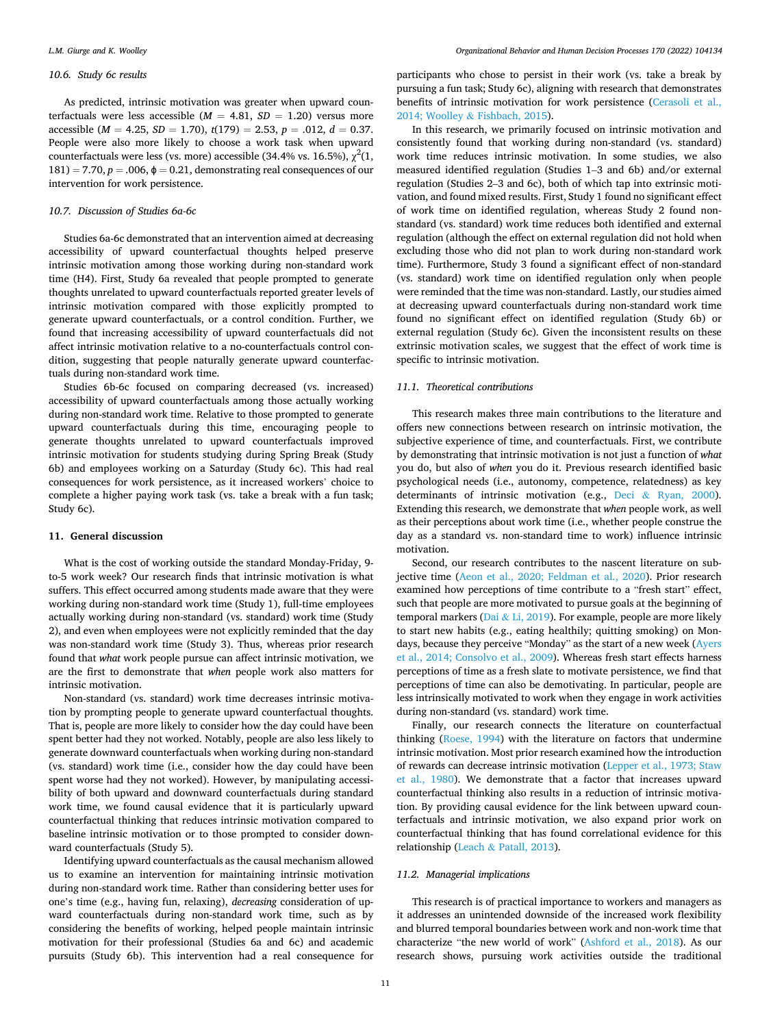# *10.6. Study 6c results*

As predicted, intrinsic motivation was greater when upward counterfactuals were less accessible  $(M = 4.81, SD = 1.20)$  versus more accessible ( $M = 4.25$ ,  $SD = 1.70$ ),  $t(179) = 2.53$ ,  $p = .012$ ,  $d = 0.37$ . People were also more likely to choose a work task when upward counterfactuals were less (vs. more) accessible (34.4% vs. 16.5%),  $\chi^2(1, 1)$  $181$ ) = 7.70,  $p = .006$ ,  $\phi = 0.21$ , demonstrating real consequences of our intervention for work persistence.

# *10.7. Discussion of Studies 6a-6c*

Studies 6a-6c demonstrated that an intervention aimed at decreasing accessibility of upward counterfactual thoughts helped preserve intrinsic motivation among those working during non-standard work time (H4). First, Study 6a revealed that people prompted to generate thoughts unrelated to upward counterfactuals reported greater levels of intrinsic motivation compared with those explicitly prompted to generate upward counterfactuals, or a control condition. Further, we found that increasing accessibility of upward counterfactuals did not affect intrinsic motivation relative to a no-counterfactuals control condition, suggesting that people naturally generate upward counterfactuals during non-standard work time.

Studies 6b-6c focused on comparing decreased (vs. increased) accessibility of upward counterfactuals among those actually working during non-standard work time. Relative to those prompted to generate upward counterfactuals during this time, encouraging people to generate thoughts unrelated to upward counterfactuals improved intrinsic motivation for students studying during Spring Break (Study 6b) and employees working on a Saturday (Study 6c). This had real consequences for work persistence, as it increased workers' choice to complete a higher paying work task (vs. take a break with a fun task; Study 6c).

## **11. General discussion**

What is the cost of working outside the standard Monday-Friday, 9 to-5 work week? Our research finds that intrinsic motivation is what suffers. This effect occurred among students made aware that they were working during non-standard work time (Study 1), full-time employees actually working during non-standard (vs. standard) work time (Study 2), and even when employees were not explicitly reminded that the day was non-standard work time (Study 3). Thus, whereas prior research found that *what* work people pursue can affect intrinsic motivation, we are the first to demonstrate that *when* people work also matters for intrinsic motivation.

Non-standard (vs. standard) work time decreases intrinsic motivation by prompting people to generate upward counterfactual thoughts. That is, people are more likely to consider how the day could have been spent better had they not worked. Notably, people are also less likely to generate downward counterfactuals when working during non-standard (vs. standard) work time (i.e., consider how the day could have been spent worse had they not worked). However, by manipulating accessibility of both upward and downward counterfactuals during standard work time, we found causal evidence that it is particularly upward counterfactual thinking that reduces intrinsic motivation compared to baseline intrinsic motivation or to those prompted to consider downward counterfactuals (Study 5).

Identifying upward counterfactuals as the causal mechanism allowed us to examine an intervention for maintaining intrinsic motivation during non-standard work time. Rather than considering better uses for one's time (e.g., having fun, relaxing), *decreasing* consideration of upward counterfactuals during non-standard work time, such as by considering the benefits of working, helped people maintain intrinsic motivation for their professional (Studies 6a and 6c) and academic pursuits (Study 6b). This intervention had a real consequence for

participants who chose to persist in their work (vs. take a break by pursuing a fun task; Study 6c), aligning with research that demonstrates benefits of intrinsic motivation for work persistence [\(Cerasoli et al.,](#page-12-0)  2014; Woolley & [Fishbach, 2015\)](#page-12-0).

In this research, we primarily focused on intrinsic motivation and consistently found that working during non-standard (vs. standard) work time reduces intrinsic motivation. In some studies, we also measured identified regulation (Studies 1–3 and 6b) and/or external regulation (Studies 2–3 and 6c), both of which tap into extrinsic motivation, and found mixed results. First, Study 1 found no significant effect of work time on identified regulation, whereas Study 2 found nonstandard (vs. standard) work time reduces both identified and external regulation (although the effect on external regulation did not hold when excluding those who did not plan to work during non-standard work time). Furthermore, Study 3 found a significant effect of non-standard (vs. standard) work time on identified regulation only when people were reminded that the time was non-standard. Lastly, our studies aimed at decreasing upward counterfactuals during non-standard work time found no significant effect on identified regulation (Study 6b) or external regulation (Study 6c). Given the inconsistent results on these extrinsic motivation scales, we suggest that the effect of work time is specific to intrinsic motivation.

## *11.1. Theoretical contributions*

This research makes three main contributions to the literature and offers new connections between research on intrinsic motivation, the subjective experience of time, and counterfactuals. First, we contribute by demonstrating that intrinsic motivation is not just a function of *what*  you do, but also of *when* you do it. Previous research identified basic psychological needs (i.e., autonomy, competence, relatedness) as key determinants of intrinsic motivation (e.g., Deci & [Ryan, 2000](#page-12-0)). Extending this research, we demonstrate that *when* people work, as well as their perceptions about work time (i.e., whether people construe the day as a standard vs. non-standard time to work) influence intrinsic motivation.

Second, our research contributes to the nascent literature on subjective time ([Aeon et al., 2020; Feldman et al., 2020\)](#page-12-0). Prior research examined how perceptions of time contribute to a "fresh start" effect, such that people are more motivated to pursue goals at the beginning of temporal markers (Dai & [Li, 2019\)](#page-12-0). For example, people are more likely to start new habits (e.g., eating healthily; quitting smoking) on Mondays, because they perceive "Monday" as the start of a new week ([Ayers](#page-12-0)  [et al., 2014; Consolvo et al., 2009](#page-12-0)). Whereas fresh start effects harness perceptions of time as a fresh slate to motivate persistence, we find that perceptions of time can also be demotivating. In particular, people are less intrinsically motivated to work when they engage in work activities during non-standard (vs. standard) work time.

Finally, our research connects the literature on counterfactual thinking ([Roese, 1994\)](#page-12-0) with the literature on factors that undermine intrinsic motivation. Most prior research examined how the introduction of rewards can decrease intrinsic motivation [\(Lepper et al., 1973; Staw](#page-12-0)  [et al., 1980\)](#page-12-0). We demonstrate that a factor that increases upward counterfactual thinking also results in a reduction of intrinsic motivation. By providing causal evidence for the link between upward counterfactuals and intrinsic motivation, we also expand prior work on counterfactual thinking that has found correlational evidence for this relationship (Leach & [Patall, 2013](#page-12-0)).

#### *11.2. Managerial implications*

This research is of practical importance to workers and managers as it addresses an unintended downside of the increased work flexibility and blurred temporal boundaries between work and non-work time that characterize "the new world of work" ([Ashford et al., 2018](#page-12-0)). As our research shows, pursuing work activities outside the traditional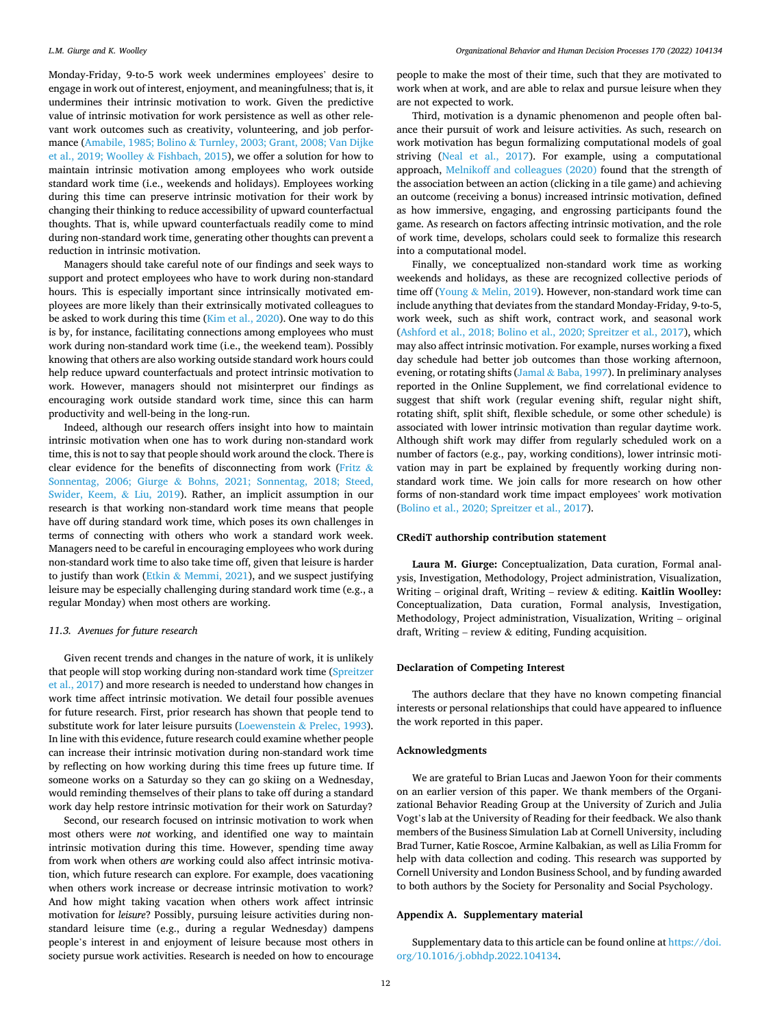Monday-Friday, 9-to-5 work week undermines employees' desire to engage in work out of interest, enjoyment, and meaningfulness; that is, it undermines their intrinsic motivation to work. Given the predictive value of intrinsic motivation for work persistence as well as other relevant work outcomes such as creativity, volunteering, and job performance (Amabile, 1985; Bolino & [Turnley, 2003; Grant, 2008; Van Dijke](#page-12-0)  [et al., 2019; Woolley](#page-12-0) & Fishbach, 2015), we offer a solution for how to maintain intrinsic motivation among employees who work outside standard work time (i.e., weekends and holidays). Employees working during this time can preserve intrinsic motivation for their work by changing their thinking to reduce accessibility of upward counterfactual thoughts. That is, while upward counterfactuals readily come to mind during non-standard work time, generating other thoughts can prevent a reduction in intrinsic motivation.

Managers should take careful note of our findings and seek ways to support and protect employees who have to work during non-standard hours. This is especially important since intrinsically motivated employees are more likely than their extrinsically motivated colleagues to be asked to work during this time ([Kim et al., 2020\)](#page-12-0). One way to do this is by, for instance, facilitating connections among employees who must work during non-standard work time (i.e., the weekend team). Possibly knowing that others are also working outside standard work hours could help reduce upward counterfactuals and protect intrinsic motivation to work. However, managers should not misinterpret our findings as encouraging work outside standard work time, since this can harm productivity and well-being in the long-run.

Indeed, although our research offers insight into how to maintain intrinsic motivation when one has to work during non-standard work time, this is not to say that people should work around the clock. There is clear evidence for the benefits of disconnecting from work [\(Fritz](#page-12-0) & Sonnentag, 2006; Giurge & [Bohns, 2021; Sonnentag, 2018; Steed,](#page-12-0)  [Swider, Keem,](#page-12-0) & Liu, 2019). Rather, an implicit assumption in our research is that working non-standard work time means that people have off during standard work time, which poses its own challenges in terms of connecting with others who work a standard work week. Managers need to be careful in encouraging employees who work during non-standard work time to also take time off, given that leisure is harder to justify than work (Etkin & [Memmi, 2021\)](#page-12-0), and we suspect justifying leisure may be especially challenging during standard work time (e.g., a regular Monday) when most others are working.

## *11.3. Avenues for future research*

Given recent trends and changes in the nature of work, it is unlikely that people will stop working during non-standard work time [\(Spreitzer](#page-13-0)  [et al., 2017](#page-13-0)) and more research is needed to understand how changes in work time affect intrinsic motivation. We detail four possible avenues for future research. First, prior research has shown that people tend to substitute work for later leisure pursuits ([Loewenstein](#page-12-0) & Prelec, 1993). In line with this evidence, future research could examine whether people can increase their intrinsic motivation during non-standard work time by reflecting on how working during this time frees up future time. If someone works on a Saturday so they can go skiing on a Wednesday, would reminding themselves of their plans to take off during a standard work day help restore intrinsic motivation for their work on Saturday?

Second, our research focused on intrinsic motivation to work when most others were *not* working, and identified one way to maintain intrinsic motivation during this time. However, spending time away from work when others *are* working could also affect intrinsic motivation, which future research can explore. For example, does vacationing when others work increase or decrease intrinsic motivation to work? And how might taking vacation when others work affect intrinsic motivation for *leisure*? Possibly, pursuing leisure activities during nonstandard leisure time (e.g., during a regular Wednesday) dampens people's interest in and enjoyment of leisure because most others in society pursue work activities. Research is needed on how to encourage

people to make the most of their time, such that they are motivated to work when at work, and are able to relax and pursue leisure when they are not expected to work.

Third, motivation is a dynamic phenomenon and people often balance their pursuit of work and leisure activities. As such, research on work motivation has begun formalizing computational models of goal striving ([Neal et al., 2017\)](#page-12-0). For example, using a computational approach, [Melnikoff and colleagues \(2020\)](#page-12-0) found that the strength of the association between an action (clicking in a tile game) and achieving an outcome (receiving a bonus) increased intrinsic motivation, defined as how immersive, engaging, and engrossing participants found the game. As research on factors affecting intrinsic motivation, and the role of work time, develops, scholars could seek to formalize this research into a computational model.

Finally, we conceptualized non-standard work time as working weekends and holidays, as these are recognized collective periods of time off (Young & [Melin, 2019](#page-13-0)). However, non-standard work time can include anything that deviates from the standard Monday-Friday, 9-to-5, work week, such as shift work, contract work, and seasonal work ([Ashford et al., 2018; Bolino et al., 2020; Spreitzer et al., 2017\)](#page-12-0), which may also affect intrinsic motivation. For example, nurses working a fixed day schedule had better job outcomes than those working afternoon, evening, or rotating shifts (Jamal & [Baba, 1997\)](#page-12-0). In preliminary analyses reported in the Online Supplement, we find correlational evidence to suggest that shift work (regular evening shift, regular night shift, rotating shift, split shift, flexible schedule, or some other schedule) is associated with lower intrinsic motivation than regular daytime work. Although shift work may differ from regularly scheduled work on a number of factors (e.g., pay, working conditions), lower intrinsic motivation may in part be explained by frequently working during nonstandard work time. We join calls for more research on how other forms of non-standard work time impact employees' work motivation ([Bolino et al., 2020; Spreitzer et al., 2017\)](#page-12-0).

## **CRediT authorship contribution statement**

**Laura M. Giurge:** Conceptualization, Data curation, Formal analysis, Investigation, Methodology, Project administration, Visualization, Writing – original draft, Writing – review & editing. **Kaitlin Woolley:**  Conceptualization, Data curation, Formal analysis, Investigation, Methodology, Project administration, Visualization, Writing – original draft, Writing – review  $\&$  editing, Funding acquisition.

## **Declaration of Competing Interest**

The authors declare that they have no known competing financial interests or personal relationships that could have appeared to influence the work reported in this paper.

## **Acknowledgments**

We are grateful to Brian Lucas and Jaewon Yoon for their comments on an earlier version of this paper. We thank members of the Organizational Behavior Reading Group at the University of Zurich and Julia Vogt's lab at the University of Reading for their feedback. We also thank members of the Business Simulation Lab at Cornell University, including Brad Turner, Katie Roscoe, Armine Kalbakian, as well as Lilia Fromm for help with data collection and coding. This research was supported by Cornell University and London Business School, and by funding awarded to both authors by the Society for Personality and Social Psychology.

## **Appendix A. Supplementary material**

Supplementary data to this article can be found online at [https://doi.](https://doi.org/10.1016/j.obhdp.2022.104134)  [org/10.1016/j.obhdp.2022.104134](https://doi.org/10.1016/j.obhdp.2022.104134).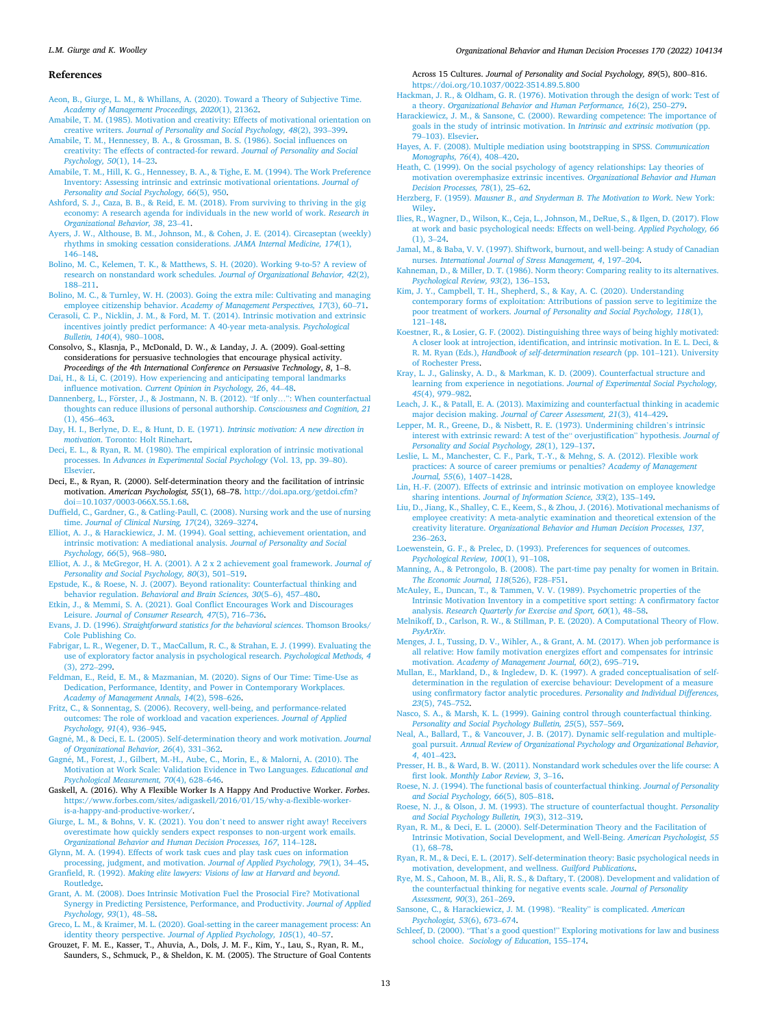#### *Organizational Behavior and Human Decision Processes 170 (2022) 104134*

#### <span id="page-12-0"></span>**References**

[Aeon, B., Giurge, L. M., & Whillans, A. \(2020\). Toward a Theory of Subjective Time.](http://refhub.elsevier.com/S0749-5978(22)00018-8/h0005)  *[Academy of Management Proceedings, 2020](http://refhub.elsevier.com/S0749-5978(22)00018-8/h0005)*(1), 21362.

- [Amabile, T. M. \(1985\). Motivation and creativity: Effects of motivational orientation on](http://refhub.elsevier.com/S0749-5978(22)00018-8/h0010)  creative writers. *[Journal of Personality and Social Psychology, 48](http://refhub.elsevier.com/S0749-5978(22)00018-8/h0010)*(2), 393–399.
- [Amabile, T. M., Hennessey, B. A., & Grossman, B. S. \(1986\). Social influences on](http://refhub.elsevier.com/S0749-5978(22)00018-8/h0015) [creativity: The effects of contracted-for reward.](http://refhub.elsevier.com/S0749-5978(22)00018-8/h0015) *Journal of Personality and Social [Psychology, 50](http://refhub.elsevier.com/S0749-5978(22)00018-8/h0015)*(1), 14–23.
- [Amabile, T. M., Hill, K. G., Hennessey, B. A., & Tighe, E. M. \(1994\). The Work Preference](http://refhub.elsevier.com/S0749-5978(22)00018-8/h0020)  [Inventory: Assessing intrinsic and extrinsic motivational orientations.](http://refhub.elsevier.com/S0749-5978(22)00018-8/h0020) *Journal of [Personality and Social Psychology, 66](http://refhub.elsevier.com/S0749-5978(22)00018-8/h0020)*(5), 950.
- [Ashford, S. J., Caza, B. B., & Reid, E. M. \(2018\). From surviving to thriving in the gig](http://refhub.elsevier.com/S0749-5978(22)00018-8/h0025)  [economy: A research agenda for individuals in the new world of work.](http://refhub.elsevier.com/S0749-5978(22)00018-8/h0025) *Research in [Organizational Behavior, 38](http://refhub.elsevier.com/S0749-5978(22)00018-8/h0025)*, 23–41.
- [Ayers, J. W., Althouse, B. M., Johnson, M., & Cohen, J. E. \(2014\). Circaseptan \(weekly\)](http://refhub.elsevier.com/S0749-5978(22)00018-8/h0030)  [rhythms in smoking cessation considerations.](http://refhub.elsevier.com/S0749-5978(22)00018-8/h0030) *JAMA Internal Medicine, 174*(1), 146–[148](http://refhub.elsevier.com/S0749-5978(22)00018-8/h0030).
- [Bolino, M. C., Kelemen, T. K., & Matthews, S. H. \(2020\). Working 9-to-5? A review of](http://refhub.elsevier.com/S0749-5978(22)00018-8/h0035) [research on nonstandard work schedules.](http://refhub.elsevier.com/S0749-5978(22)00018-8/h0035) *Journal of Organizational Behavior, 42*(2), 188–[211](http://refhub.elsevier.com/S0749-5978(22)00018-8/h0035).
- [Bolino, M. C., & Turnley, W. H. \(2003\). Going the extra mile: Cultivating and managing](http://refhub.elsevier.com/S0749-5978(22)00018-8/h0040)  employee citizenship behavior. *[Academy of Management Perspectives, 17](http://refhub.elsevier.com/S0749-5978(22)00018-8/h0040)*(3), 60–71. [Cerasoli, C. P., Nicklin, J. M., & Ford, M. T. \(2014\). Intrinsic motivation and extrinsic](http://refhub.elsevier.com/S0749-5978(22)00018-8/h0045)
- [incentives jointly predict performance: A 40-year meta-analysis.](http://refhub.elsevier.com/S0749-5978(22)00018-8/h0045) *Psychological [Bulletin, 140](http://refhub.elsevier.com/S0749-5978(22)00018-8/h0045)*(4), 980–1008.
- Consolvo, S., Klasnja, P., McDonald, D. W., & Landay, J. A. (2009). Goal-setting considerations for persuasive technologies that encourage physical activity. *Proceedings of the 4th International Conference on Persuasive Technology*, *8*, 1–8.
- [Dai, H., & Li, C. \(2019\). How experiencing and anticipating temporal landmarks](http://refhub.elsevier.com/S0749-5978(22)00018-8/h0055) influence motivation. *[Current Opinion in Psychology, 26](http://refhub.elsevier.com/S0749-5978(22)00018-8/h0055)*, 44–48.
- Dannenberg, L., Förster, [J., & Jostmann, N. B. \(2012\).](http://refhub.elsevier.com/S0749-5978(22)00018-8/h0060) "If only...": When counterfactual [thoughts can reduce illusions of personal authorship.](http://refhub.elsevier.com/S0749-5978(22)00018-8/h0060) *Consciousness and Cognition, 21*  [\(1\), 456](http://refhub.elsevier.com/S0749-5978(22)00018-8/h0060)–463.
- [Day, H. I., Berlyne, D. E., & Hunt, D. E. \(1971\).](http://refhub.elsevier.com/S0749-5978(22)00018-8/h0065) *Intrinsic motivation: A new direction in motivation*[. Toronto: Holt Rinehart.](http://refhub.elsevier.com/S0749-5978(22)00018-8/h0065)
- [Deci, E. L., & Ryan, R. M. \(1980\). The empirical exploration of intrinsic motivational](http://refhub.elsevier.com/S0749-5978(22)00018-8/h0070)  processes. In *[Advances in Experimental Social Psychology](http://refhub.elsevier.com/S0749-5978(22)00018-8/h0070)* (Vol. 13, pp. 39–80). [Elsevier.](http://refhub.elsevier.com/S0749-5978(22)00018-8/h0070)
- Deci, E., & Ryan, R. (2000). Self-determination theory and the facilitation of intrinsic motivation. *American Psychologist, 55*(1), 68–78. [http://doi.apa.org/getdoi.cfm?](http://doi.apa.org/getdoi.cfm?doi=10.1037/0003-066X.55.1.68) doi=[10.1037/0003-066X.55.1.68](http://doi.apa.org/getdoi.cfm?doi=10.1037/0003-066X.55.1.68).
- [Duffield, C., Gardner, G., & Catling-Paull, C. \(2008\). Nursing work and the use of nursing](http://refhub.elsevier.com/S0749-5978(22)00018-8/h0080)  time. *[Journal of Clinical Nursing, 17](http://refhub.elsevier.com/S0749-5978(22)00018-8/h0080)*(24), 3269–3274.
- [Elliot, A. J., & Harackiewicz, J. M. \(1994\). Goal setting, achievement orientation, and](http://refhub.elsevier.com/S0749-5978(22)00018-8/h0085) [intrinsic motivation: A mediational analysis.](http://refhub.elsevier.com/S0749-5978(22)00018-8/h0085) *Journal of Personality and Social [Psychology, 66](http://refhub.elsevier.com/S0749-5978(22)00018-8/h0085)*(5), 968–980.
- [Elliot, A. J., & McGregor, H. A. \(2001\). A 2 x 2 achievement goal framework.](http://refhub.elsevier.com/S0749-5978(22)00018-8/h0090) *Journal of [Personality and Social Psychology, 80](http://refhub.elsevier.com/S0749-5978(22)00018-8/h0090)*(3), 501–519.
- [Epstude, K., & Roese, N. J. \(2007\). Beyond rationality: Counterfactual thinking and](http://refhub.elsevier.com/S0749-5978(22)00018-8/h0095)  behavior regulation. *[Behavioral and Brain Sciences, 30](http://refhub.elsevier.com/S0749-5978(22)00018-8/h0095)*(5–6), 457–480.
- [Etkin, J., & Memmi, S. A. \(2021\). Goal Conflict Encourages Work and Discourages](http://refhub.elsevier.com/S0749-5978(22)00018-8/h0100) Leisure. *[Journal of Consumer Research, 47](http://refhub.elsevier.com/S0749-5978(22)00018-8/h0100)*(5), 716–736.
- Evans, J. D. (1996). *[Straightforward statistics for the behavioral sciences](http://refhub.elsevier.com/S0749-5978(22)00018-8/h0105)*. Thomson Brooks/ [Cole Publishing Co.](http://refhub.elsevier.com/S0749-5978(22)00018-8/h0105)
- [Fabrigar, L. R., Wegener, D. T., MacCallum, R. C., & Strahan, E. J. \(1999\). Evaluating the](http://refhub.elsevier.com/S0749-5978(22)00018-8/h0110)  [use of exploratory factor analysis in psychological research.](http://refhub.elsevier.com/S0749-5978(22)00018-8/h0110) *Psychological Methods, 4*  [\(3\), 272](http://refhub.elsevier.com/S0749-5978(22)00018-8/h0110)–299.
- [Feldman, E., Reid, E. M., & Mazmanian, M. \(2020\). Signs of Our Time: Time-Use as](http://refhub.elsevier.com/S0749-5978(22)00018-8/h0115)  [Dedication, Performance, Identity, and Power in Contemporary Workplaces.](http://refhub.elsevier.com/S0749-5978(22)00018-8/h0115)  *[Academy of Management Annals, 14](http://refhub.elsevier.com/S0749-5978(22)00018-8/h0115)*(2), 598–626.
- [Fritz, C., & Sonnentag, S. \(2006\). Recovery, well-being, and performance-related](http://refhub.elsevier.com/S0749-5978(22)00018-8/h0120)  [outcomes: The role of workload and vacation experiences.](http://refhub.elsevier.com/S0749-5978(22)00018-8/h0120) *Journal of Applied [Psychology, 91](http://refhub.elsevier.com/S0749-5978(22)00018-8/h0120)*(4), 936–945.
- Gagné, M., & Deci, E. L. (2005). Self-determination theory and work motivation. *Journal [of Organizational Behavior, 26](http://refhub.elsevier.com/S0749-5978(22)00018-8/h0125)*(4), 331–362.
- Gagné, M., Forest, J., Gilbert, M.-H., Aube, C., Morin, E., & Malorni, A. (2010). The [Motivation at Work Scale: Validation Evidence in Two Languages.](http://refhub.elsevier.com/S0749-5978(22)00018-8/h0130) *Educational and [Psychological Measurement, 70](http://refhub.elsevier.com/S0749-5978(22)00018-8/h0130)*(4), 628–646.
- Gaskell, A. (2016). Why A Flexible Worker Is A Happy And Productive Worker. *Forbes*. [https://www.forbes.com/sites/adigaskell/2016/01/15/why-a-flexible-worker](https://www.forbes.com/sites/adigaskell/2016/01/15/why-a-flexible-worker-is-a-happy-and-productive-worker/)[is-a-happy-and-productive-worker/.](https://www.forbes.com/sites/adigaskell/2016/01/15/why-a-flexible-worker-is-a-happy-and-productive-worker/)
- [Giurge, L. M., & Bohns, V. K. \(2021\). You don](http://refhub.elsevier.com/S0749-5978(22)00018-8/optxBrSGnq4lU)'t need to answer right away! Receivers [overestimate how quickly senders expect responses to non-urgent work emails.](http://refhub.elsevier.com/S0749-5978(22)00018-8/optxBrSGnq4lU)  *[Organizational Behavior and Human Decision Processes, 167](http://refhub.elsevier.com/S0749-5978(22)00018-8/optxBrSGnq4lU)*, 114–128.
- [Glynn, M. A. \(1994\). Effects of work task cues and play task cues on information](http://refhub.elsevier.com/S0749-5978(22)00018-8/h0140) [processing, judgment, and motivation.](http://refhub.elsevier.com/S0749-5978(22)00018-8/h0140) *Journal of Applied Psychology, 79*(1), 34–45. Granfield, R. (1992). *[Making elite lawyers: Visions of law at Harvard and beyond](http://refhub.elsevier.com/S0749-5978(22)00018-8/h0145)*.
- [Routledge](http://refhub.elsevier.com/S0749-5978(22)00018-8/h0145). [Grant, A. M. \(2008\). Does Intrinsic Motivation Fuel the Prosocial Fire? Motivational](http://refhub.elsevier.com/S0749-5978(22)00018-8/h0150)  [Synergy in Predicting Persistence, Performance, and Productivity.](http://refhub.elsevier.com/S0749-5978(22)00018-8/h0150) *Journal of Applied*
- *[Psychology, 93](http://refhub.elsevier.com/S0749-5978(22)00018-8/h0150)*(1), 48–58. [Greco, L. M., & Kraimer, M. L. \(2020\). Goal-setting in the career management process: An](http://refhub.elsevier.com/S0749-5978(22)00018-8/h0155)  identity theory perspective. *[Journal of Applied Psychology, 105](http://refhub.elsevier.com/S0749-5978(22)00018-8/h0155)*(1), 40–57.
- Grouzet, F. M. E., Kasser, T., Ahuvia, A., Dols, J. M. F., Kim, Y., Lau, S., Ryan, R. M., Saunders, S., Schmuck, P., & Sheldon, K. M. (2005). The Structure of Goal Contents

#### Across 15 Cultures. *Journal of Personality and Social Psychology, 89*(5), 800–816. <https://doi.org/10.1037/0022-3514.89.5.800>

- [Hackman, J. R., & Oldham, G. R. \(1976\). Motivation through the design of work: Test of](http://refhub.elsevier.com/S0749-5978(22)00018-8/h0165)  a theory. *[Organizational Behavior and Human Performance, 16](http://refhub.elsevier.com/S0749-5978(22)00018-8/h0165)*(2), 250–279.
- [Harackiewicz, J. M., & Sansone, C. \(2000\). Rewarding competence: The importance of](http://refhub.elsevier.com/S0749-5978(22)00018-8/h0170)  [goals in the study of intrinsic motivation. In](http://refhub.elsevier.com/S0749-5978(22)00018-8/h0170) *Intrinsic and extrinsic motivation* (pp. 79–[103\). Elsevier](http://refhub.elsevier.com/S0749-5978(22)00018-8/h0170).
- [Hayes, A. F. \(2008\). Multiple mediation using bootstrapping in SPSS.](http://refhub.elsevier.com/S0749-5978(22)00018-8/h0175) *Communication [Monographs, 76](http://refhub.elsevier.com/S0749-5978(22)00018-8/h0175)*(4), 408–420.
- [Heath, C. \(1999\). On the social psychology of agency relationships: Lay theories of](http://refhub.elsevier.com/S0749-5978(22)00018-8/h0180)  [motivation overemphasize extrinsic incentives.](http://refhub.elsevier.com/S0749-5978(22)00018-8/h0180) *Organizational Behavior and Human [Decision Processes, 78](http://refhub.elsevier.com/S0749-5978(22)00018-8/h0180)*(1), 25–62.
- Herzberg, F. (1959). *[Mausner B., and Snyderman B. The Motivation to Work](http://refhub.elsevier.com/S0749-5978(22)00018-8/h0185)*. New York: [Wiley.](http://refhub.elsevier.com/S0749-5978(22)00018-8/h0185)
- [Ilies, R., Wagner, D., Wilson, K., Ceja, L., Johnson, M., DeRue, S., & Ilgen, D. \(2017\). Flow](http://refhub.elsevier.com/S0749-5978(22)00018-8/h0190)  [at work and basic psychological needs: Effects on well-being.](http://refhub.elsevier.com/S0749-5978(22)00018-8/h0190) *Applied Psychology, 66*  [\(1\), 3](http://refhub.elsevier.com/S0749-5978(22)00018-8/h0190)–24.
- [Jamal, M., & Baba, V. V. \(1997\). Shiftwork, burnout, and well-being: A study of Canadian](http://refhub.elsevier.com/S0749-5978(22)00018-8/h0195)  nurses. *[International Journal of Stress Management, 4](http://refhub.elsevier.com/S0749-5978(22)00018-8/h0195)*, 197–204.
- [Kahneman, D., & Miller, D. T. \(1986\). Norm theory: Comparing reality to its alternatives.](http://refhub.elsevier.com/S0749-5978(22)00018-8/h0200)  *[Psychological Review, 93](http://refhub.elsevier.com/S0749-5978(22)00018-8/h0200)*(2), 136–153.
- [Kim, J. Y., Campbell, T. H., Shepherd, S., & Kay, A. C. \(2020\). Understanding](http://refhub.elsevier.com/S0749-5978(22)00018-8/h0205)  [contemporary forms of exploitation: Attributions of passion serve to legitimize the](http://refhub.elsevier.com/S0749-5978(22)00018-8/h0205)  poor treatment of workers. *[Journal of Personality and Social Psychology, 118](http://refhub.elsevier.com/S0749-5978(22)00018-8/h0205)*(1), 121–[148](http://refhub.elsevier.com/S0749-5978(22)00018-8/h0205).
- [Koestner, R., & Losier, G. F. \(2002\). Distinguishing three ways of being highly motivated:](http://refhub.elsevier.com/S0749-5978(22)00018-8/h0210)  [A closer look at introjection, identification, and intrinsic motivation. In E. L. Deci, &](http://refhub.elsevier.com/S0749-5978(22)00018-8/h0210)  R. M. Ryan (Eds.), *[Handbook of self-determination research](http://refhub.elsevier.com/S0749-5978(22)00018-8/h0210)* (pp. 101–121). University [of Rochester Press](http://refhub.elsevier.com/S0749-5978(22)00018-8/h0210).
- [Kray, L. J., Galinsky, A. D., & Markman, K. D. \(2009\). Counterfactual structure and](http://refhub.elsevier.com/S0749-5978(22)00018-8/h0215)  [learning from experience in negotiations.](http://refhub.elsevier.com/S0749-5978(22)00018-8/h0215) *Journal of Experimental Social Psychology, 45*[\(4\), 979](http://refhub.elsevier.com/S0749-5978(22)00018-8/h0215)–982.
- [Leach, J. K., & Patall, E. A. \(2013\). Maximizing and counterfactual thinking in academic](http://refhub.elsevier.com/S0749-5978(22)00018-8/h0220)  major decision making. *[Journal of Career Assessment, 21](http://refhub.elsevier.com/S0749-5978(22)00018-8/h0220)*(3), 414–429.
- [Lepper, M. R., Greene, D., & Nisbett, R. E. \(1973\). Undermining children](http://refhub.elsevier.com/S0749-5978(22)00018-8/h0225)'s intrinsic [interest with extrinsic reward: A test of the](http://refhub.elsevier.com/S0749-5978(22)00018-8/h0225)" overjustification" hypothesis. *Journal of*
- *[Personality and Social Psychology, 28](http://refhub.elsevier.com/S0749-5978(22)00018-8/h0225)*(1), 129–137. [Leslie, L. M., Manchester, C. F., Park, T.-Y., & Mehng, S. A. \(2012\). Flexible work](http://refhub.elsevier.com/S0749-5978(22)00018-8/h0230)  [practices: A source of career premiums or penalties?](http://refhub.elsevier.com/S0749-5978(22)00018-8/h0230) *Academy of Management [Journal, 55](http://refhub.elsevier.com/S0749-5978(22)00018-8/h0230)*(6), 1407–1428.
- [Lin, H.-F. \(2007\). Effects of extrinsic and intrinsic motivation on employee knowledge](http://refhub.elsevier.com/S0749-5978(22)00018-8/h0235)  sharing intentions. *[Journal of Information Science, 33](http://refhub.elsevier.com/S0749-5978(22)00018-8/h0235)*(2), 135–149.
- [Liu, D., Jiang, K., Shalley, C. E., Keem, S., & Zhou, J. \(2016\). Motivational mechanisms of](http://refhub.elsevier.com/S0749-5978(22)00018-8/h0240)  [employee creativity: A meta-analytic examination and theoretical extension of the](http://refhub.elsevier.com/S0749-5978(22)00018-8/h0240) creativity literature. *[Organizational Behavior and Human Decision Processes, 137](http://refhub.elsevier.com/S0749-5978(22)00018-8/h0240)*, 236–[263](http://refhub.elsevier.com/S0749-5978(22)00018-8/h0240).
- [Loewenstein, G. F., & Prelec, D. \(1993\). Preferences for sequences of outcomes.](http://refhub.elsevier.com/S0749-5978(22)00018-8/h0245) *[Psychological Review, 100](http://refhub.elsevier.com/S0749-5978(22)00018-8/h0245)*(1), 91–108.
- [Manning, A., & Petrongolo, B. \(2008\). The part-time pay penalty for women in Britain.](http://refhub.elsevier.com/S0749-5978(22)00018-8/h0250)  *[The Economic Journal, 118](http://refhub.elsevier.com/S0749-5978(22)00018-8/h0250)*(526), F28–F51.
- [McAuley, E., Duncan, T., & Tammen, V. V. \(1989\). Psychometric properties of the](http://refhub.elsevier.com/S0749-5978(22)00018-8/h0255) [Intrinsic Motivation Inventory in a competitive sport setting: A confirmatory factor](http://refhub.elsevier.com/S0749-5978(22)00018-8/h0255)
- analysis. *[Research Quarterly for Exercise and Sport, 60](http://refhub.elsevier.com/S0749-5978(22)00018-8/h0255)*(1), 48–58. [Melnikoff, D., Carlson, R. W., & Stillman, P. E. \(2020\). A Computational Theory of Flow.](http://refhub.elsevier.com/S0749-5978(22)00018-8/h0260)  *[PsyArXiv.](http://refhub.elsevier.com/S0749-5978(22)00018-8/h0260)*
- [Menges, J. I., Tussing, D. V., Wihler, A., & Grant, A. M. \(2017\). When job performance is](http://refhub.elsevier.com/S0749-5978(22)00018-8/h0265)  [all relative: How family motivation energizes effort and compensates for intrinsic](http://refhub.elsevier.com/S0749-5978(22)00018-8/h0265) motivation. *[Academy of Management Journal, 60](http://refhub.elsevier.com/S0749-5978(22)00018-8/h0265)*(2), 695–719.
- [Mullan, E., Markland, D., & Ingledew, D. K. \(1997\). A graded conceptualisation of self](http://refhub.elsevier.com/S0749-5978(22)00018-8/h0270)[determination in the regulation of exercise behaviour: Development of a measure](http://refhub.elsevier.com/S0749-5978(22)00018-8/h0270) [using confirmatory factor analytic procedures.](http://refhub.elsevier.com/S0749-5978(22)00018-8/h0270) *Personality and Individual Differences, 23*[\(5\), 745](http://refhub.elsevier.com/S0749-5978(22)00018-8/h0270)–752.
- [Nasco, S. A., & Marsh, K. L. \(1999\). Gaining control through counterfactual thinking.](http://refhub.elsevier.com/S0749-5978(22)00018-8/h0275) *[Personality and Social Psychology Bulletin, 25](http://refhub.elsevier.com/S0749-5978(22)00018-8/h0275)*(5), 557–569.
- [Neal, A., Ballard, T., & Vancouver, J. B. \(2017\). Dynamic self-regulation and multiple](http://refhub.elsevier.com/S0749-5978(22)00018-8/h0280)goal pursuit. *[Annual Review of Organizational Psychology and Organizational Behavior,](http://refhub.elsevier.com/S0749-5978(22)00018-8/h0280)  4*[, 401](http://refhub.elsevier.com/S0749-5978(22)00018-8/h0280)–423.
- [Presser, H. B., & Ward, B. W. \(2011\). Nonstandard work schedules over the life course: A](http://refhub.elsevier.com/S0749-5978(22)00018-8/h0285)  first look. *[Monthly Labor Review, 3](http://refhub.elsevier.com/S0749-5978(22)00018-8/h0285)*, 3–16.
- [Roese, N. J. \(1994\). The functional basis of counterfactual thinking.](http://refhub.elsevier.com/S0749-5978(22)00018-8/h0290) *Journal of Personality [and Social Psychology, 66](http://refhub.elsevier.com/S0749-5978(22)00018-8/h0290)*(5), 805–818.
- [Roese, N. J., & Olson, J. M. \(1993\). The structure of counterfactual thought.](http://refhub.elsevier.com/S0749-5978(22)00018-8/h0295) *Personality [and Social Psychology Bulletin, 19](http://refhub.elsevier.com/S0749-5978(22)00018-8/h0295)*(3), 312–319.
- [Ryan, R. M., & Deci, E. L. \(2000\). Self-Determination Theory and the Facilitation of](http://refhub.elsevier.com/S0749-5978(22)00018-8/h0300)  [Intrinsic Motivation, Social Development, and Well-Being.](http://refhub.elsevier.com/S0749-5978(22)00018-8/h0300) *American Psychologist, 55*  [\(1\), 68](http://refhub.elsevier.com/S0749-5978(22)00018-8/h0300)–78.
- [Ryan, R. M., & Deci, E. L. \(2017\). Self-determination theory: Basic psychological needs in](http://refhub.elsevier.com/S0749-5978(22)00018-8/h0305)  [motivation, development, and wellness.](http://refhub.elsevier.com/S0749-5978(22)00018-8/h0305) *Guilford Publications*.
- [Rye, M. S., Cahoon, M. B., Ali, R. S., & Daftary, T. \(2008\). Development and validation of](http://refhub.elsevier.com/S0749-5978(22)00018-8/h0310)  [the counterfactual thinking for negative events scale.](http://refhub.elsevier.com/S0749-5978(22)00018-8/h0310) *Journal of Personality [Assessment, 90](http://refhub.elsevier.com/S0749-5978(22)00018-8/h0310)*(3), 261–269.
- [Sansone, C., & Harackiewicz, J. M. \(1998\).](http://refhub.elsevier.com/S0749-5978(22)00018-8/h0315) "Reality" is complicated. *American [Psychologist, 53](http://refhub.elsevier.com/S0749-5978(22)00018-8/h0315)*(6), 673–674.
- Schleef, D. (2000). "That's a good question!" [Exploring motivations for law and business](http://refhub.elsevier.com/S0749-5978(22)00018-8/h0320)  school choice. *[Sociology of Education](http://refhub.elsevier.com/S0749-5978(22)00018-8/h0320)*, 155–174.